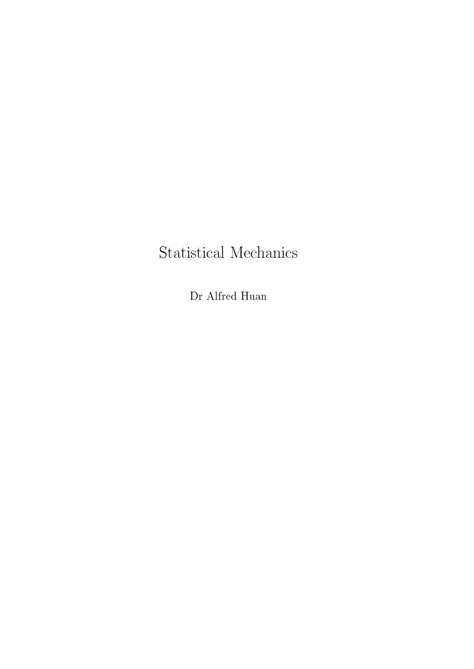## Statistical Mechanics

Dr Alfred Huan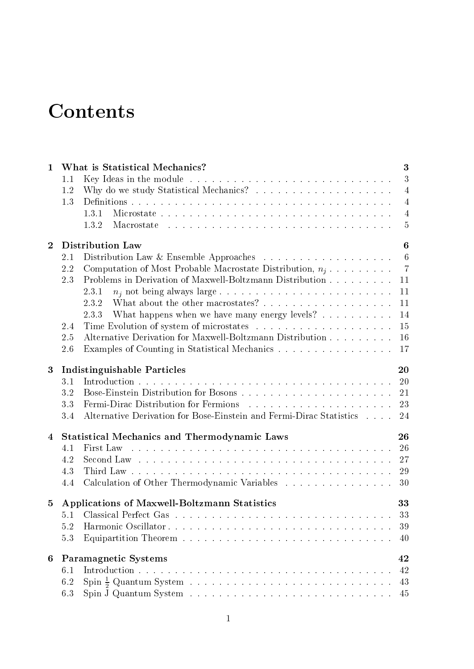# **Contents**

| $\mathbf{1}$   | What is Statistical Mechanics?                                                                                                                                                                                                       | 3              |
|----------------|--------------------------------------------------------------------------------------------------------------------------------------------------------------------------------------------------------------------------------------|----------------|
|                | 1.1                                                                                                                                                                                                                                  | 3              |
|                | 1.2                                                                                                                                                                                                                                  | $\overline{4}$ |
|                | 1.3                                                                                                                                                                                                                                  | 4              |
|                | Microstate<br>1.3.1                                                                                                                                                                                                                  | 4              |
|                | 1.3.2                                                                                                                                                                                                                                | 5              |
| $\mathbf{2}$   | Distribution Law                                                                                                                                                                                                                     | 6              |
|                | 2.1                                                                                                                                                                                                                                  | 6              |
|                | 2.2<br>Computation of Most Probable Macrostate Distribution, $n_i$                                                                                                                                                                   | $\overline{7}$ |
|                | Problems in Derivation of Maxwell-Boltzmann Distribution<br>2.3                                                                                                                                                                      | 11             |
|                | 2.3.1                                                                                                                                                                                                                                | 11             |
|                | 2.3.2                                                                                                                                                                                                                                | 11             |
|                | What happens when we have many energy levels? $\dots \dots \dots$<br>2.3.3                                                                                                                                                           | 14             |
|                | 2.4                                                                                                                                                                                                                                  | 15             |
|                | Alternative Derivation for Maxwell-Boltzmann Distribution<br>2.5                                                                                                                                                                     | 16             |
|                | Examples of Counting in Statistical Mechanics<br>2.6                                                                                                                                                                                 | 17             |
|                |                                                                                                                                                                                                                                      |                |
| 3              | <b>Indistinguishable Particles</b>                                                                                                                                                                                                   | 20             |
|                | 3.1                                                                                                                                                                                                                                  | <b>20</b>      |
|                | 3.2                                                                                                                                                                                                                                  | 21             |
|                | Fermi-Dirac Distribution for Fermions (a) and (b) and (b) and (b) and (b) and (b) and (b) and (b) and (b) and (b) and (b) and (b) and (b) and (b) and (b) and (b) and (b) and (b) and (b) and (b) and (b) and (b) and (b) and<br>3.3 | 23             |
|                | Alternative Derivation for Bose-Einstein and Fermi-Dirac Statistics<br>3.4                                                                                                                                                           | 24             |
| 4              | <b>Statistical Mechanics and Thermodynamic Laws</b>                                                                                                                                                                                  | 26             |
|                | 4.1                                                                                                                                                                                                                                  | 26             |
|                | 4.2                                                                                                                                                                                                                                  | 27             |
|                | 4.3                                                                                                                                                                                                                                  | 29             |
|                | Calculation of Other Thermodynamic Variables<br>4.4                                                                                                                                                                                  | 30             |
| $\overline{5}$ | Applications of Maxwell-Boltzmann Statistics                                                                                                                                                                                         | 33             |
|                |                                                                                                                                                                                                                                      | 33             |
|                | 5.2                                                                                                                                                                                                                                  | 39             |
|                | 5.3                                                                                                                                                                                                                                  | 40             |
|                |                                                                                                                                                                                                                                      |                |
| 6              | <b>Paramagnetic Systems</b>                                                                                                                                                                                                          | 42             |
|                | 6.1                                                                                                                                                                                                                                  | 42             |
|                | 6.2                                                                                                                                                                                                                                  | 43             |
|                | 6.3                                                                                                                                                                                                                                  | 45             |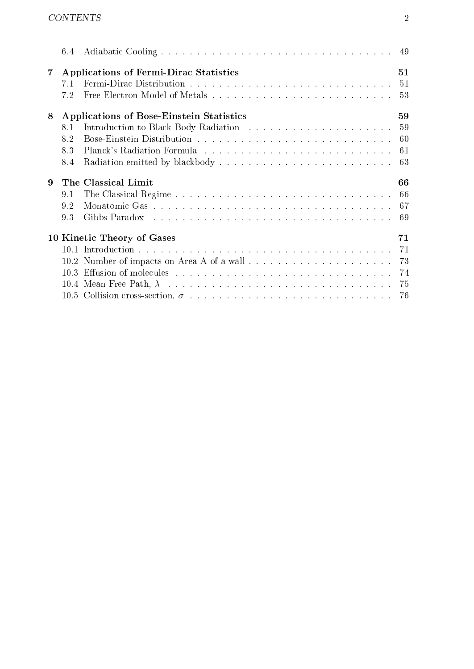|                | 6.4 |                                               |    |
|----------------|-----|-----------------------------------------------|----|
| $7\phantom{.}$ |     | <b>Applications of Fermi-Dirac Statistics</b> | 51 |
|                | 7.1 |                                               |    |
|                | 7.2 |                                               |    |
| 8              |     | Applications of Bose-Einstein Statistics      | 59 |
|                | 8.1 |                                               |    |
|                | 8.2 |                                               |    |
|                | 8.3 |                                               |    |
|                | 8.4 |                                               |    |
| 9              |     | The Classical Limit                           | 66 |
|                | 9.1 |                                               |    |
|                | 9.2 |                                               |    |
|                | 9.3 |                                               |    |
|                |     | 10 Kinetic Theory of Gases                    | 71 |
|                |     |                                               |    |
|                |     |                                               |    |
|                |     |                                               |    |
|                |     |                                               |    |
|                |     |                                               |    |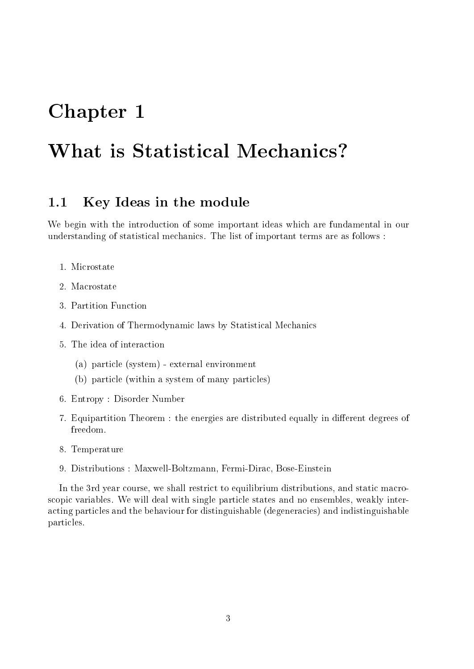## Chapter 1

## What is Statistical Mechanics?

#### Key Ideas in the module  $1.1$

We begin with the introduction of some important ideas which are fundamental in our understanding of statistical mechanics. The list of important terms are as follows :

- 1. Microstate
- 2. Macrostate
- 3 Partition Function
- 4. Derivation of Thermodynamic laws by Statistical Mechanics
- 5. The idea of interaction
	- (a) particle (system) external environment
	- (b) particle (within a system of many particles)
- 6. Entropy : Disorder Number
- 7. Equipartition Theorem : the energies are distributed equally in different degrees of freedom.
- 8. Temperature
- 9. Distributions : Maxwell-Boltzmann, Fermi-Dirac, Bose-Einstein

In the 3rd year course, we shall restrict to equilibrium distributions, and static macroscopic variables. We will deal with single particle states and no ensembles, weakly interacting particles and the behaviour for distinguishable (degeneracies) and indistinguishable particles.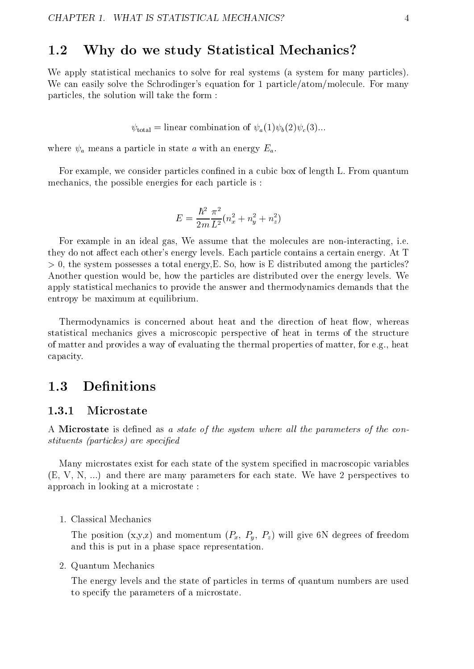#### 1.2 Why do we study Statistical Mechanics?

We apply statistical mechanics to solve for real systems (a system for many particles). We can easily solve the Schrodinger's equation for 1 particle/atom/molecule. For many particles, the solution will take the form :

 $\psi_{\text{total}} =$  linear combination of  $\psi_a(1)\psi_b(2)\psi_c(3)...$ 

where  $\psi_a$  means a particle in state a with an energy  $E_a$ .<br>For example, we consider particles confined in a cubic box of length L. From quantum mechanics, the possible energies for each particle is :

$$
E=\frac{\hbar^2}{2m} \frac{\pi^2}{L^2} (n_x^2+n_y^2+n_z^2)
$$

For example in an ideal gas, We assume that the molecules are non-interacting, i.e. they do not affect each other's energy levels. Each particle contains a certain energy. At T  $> 0$ , the system possesses a total energy, E. So, how is E distributed among the particles? Another question would be, how the particles are distributed over the energy levels. We apply statistical mechanics to provide the answer and thermodynamics demands that the entropy be maximum at equilibrium.

Thermodynamics is concerned about heat and the direction of heat flow, whereas statistical mechanics gives a microscopic perspective of heat in terms of the structure of matter and provides a way of evaluating the thermal properties of matter, for e.g., heat capacity.

### 1.3 Definitions

#### Microstate

A Microstate is defined as a state of the system where all the parameters of the constituents (particles) are specied

Many microstates exist for each state of the system specified in macroscopic variables (E, V, N, ...) and there are many parameters for each state. We have 2 perspectives to approach in looking at a microstate :

1. Classical Mechanics

The position  $(x,y,z)$  and momentum  $(P_x, P_y, P_z)$  will give 6N degrees of freedom and this is put in a phase space representation.

2. Quantum Mechanics

The energy levels and the state of particles in terms of quantum numbers are used to specify the parameters of a microstate.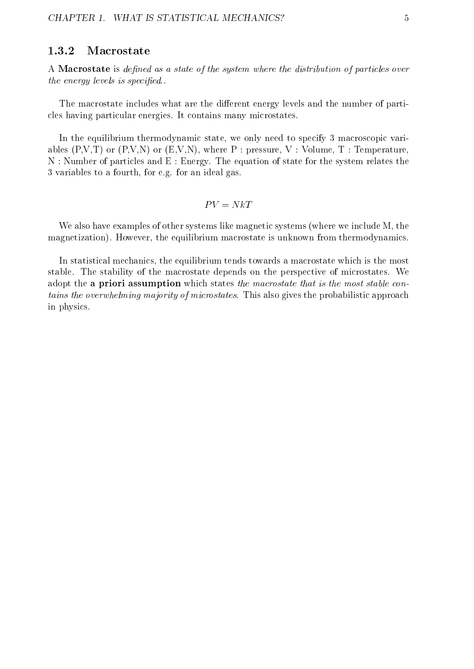#### 1.3.2Macrostate

A Macrostate is defined as a state of the system where the distribution of particles over the energy levels is specied..

The macrostate includes what are the different energy levels and the number of particles having particular energies. It contains many microstates.

In the equilibrium thermodynamic state, we only need to specify 3 macroscopic variables  $(P, V, T)$  or  $(P, V, N)$  or  $(E, V, N)$ , where P : pressure, V : Volume, T : Temperature, N : Number of particles and E : Energy. The equation of state for the system relates the 3 variables to a fourth, for e.g. for an ideal gas.

$$
PV = NkT
$$

We also have examples of other systems like magnetic systems (where we include M, the magnetization). However, the equilibrium macrostate is unknown from thermodynamics.

In statistical mechanics, the equilibrium tends towards a macrostate which is the most stable. The stability of the macrostate depends on the perspective of microstates. We adopt the a priori assumption which states the macrostate that is the most stable contains the overwhelming majority of microstates. This also gives the probabilistic approach in physics.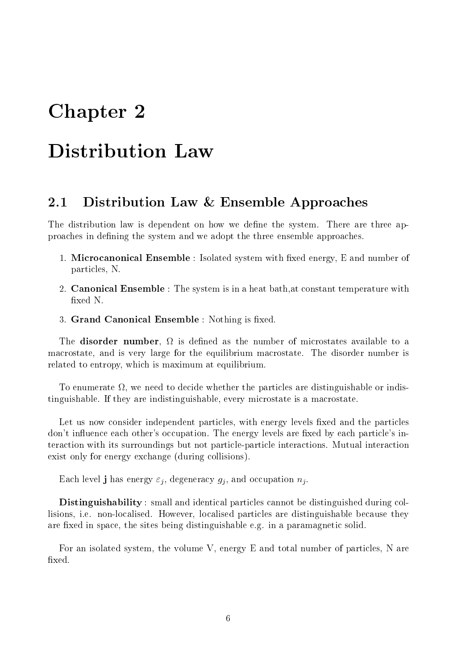## Chapter 2

## **Distribution Law**

#### Distribution Law  $&$  Ensemble Approaches 2.1

The distribution law is dependent on how we define the system. There are three approaches in defining the system and we adopt the three ensemble approaches.

- 1. Microcanonical Ensemble : Isolated system with fixed energy, E and number of particles, N.
- 2. Canonical Ensemble : The system is in a heat bath,at constant temperature with xed N.
- 3. Grand Canonical Ensemble : Nothing is fixed.

The disorder number of microstates as the number of microstates as the number of microstates available to available to available to available to available to available to available to available to available to available t macrostate, and is very large for the equilibrium macrostate. The disorder number is related to entropy, which is maximum at equilibrium.

 $\mathbf{r}$  , we need to decide whether the particles are distinguishable or indistinguishable. If they are indistinguishable, every microstate is a macrostate.

Let us now consider independent particles, with energy levels fixed and the particles don't influence each other's occupation. The energy levels are fixed by each particle's interaction with its surroundings but not particle-particle interactions. Mutual interaction exist only for energy exchange (during collisions).

Each level **j** has energy  $\varepsilon_i$ , degeneracy  $g_i$ , and occupation  $n_i$ .

Distinguishability : small and identical particles cannot be distinguished during collisions, i.e. non-localised. However, localised particles are distinguishable because they are fixed in space, the sites being distinguishable e.g. in a paramagnetic solid.

For an isolated system, the volume V, energy E and total number of particles, N are fixed.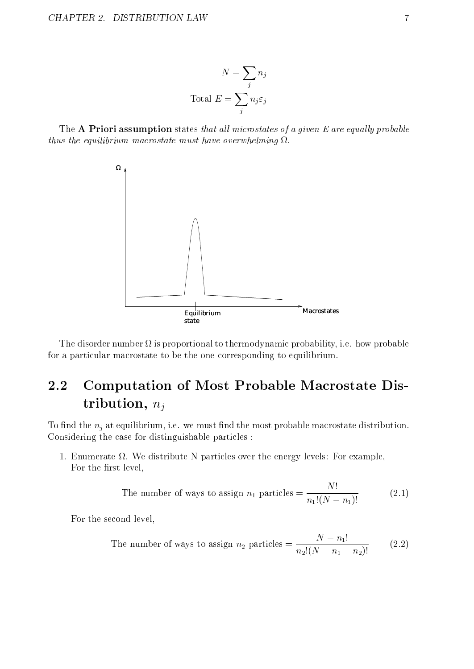$$
N = \sum_{j} n_j
$$
  
Total  $E = \sum_{j} n_j \varepsilon_j$ 

The  $A$  Priori assumption states that all microstates of a given  $E$  are equally probable thus the equilibrium must be used must have over when when  $\frac{1}{2}$ 



The disorder number is proportional to thermodynamic probability, i.e. how probable for a particular macrostate to be the one corresponding to equilibrium.

#### Computation of Most Probable Macrostate Dis-2.2 tribution,  $n_j$

To find the  $n_i$  at equilibrium, i.e. we must find the most probable macrostate distribution. Considering the case for distinguishable particles :

1. Enumerate . We distribute N particles over the energy levels: For example, For the first level.

The number of ways to assign 
$$
n_1
$$
 particles = 
$$
\frac{N!}{n_1!(N-n_1)!}
$$
 (2.1)

For the second level,

The number of ways to assign 
$$
n_2
$$
 particles = 
$$
\frac{N - n_1!}{n_2!(N - n_1 - n_2)!}
$$
 (2.2)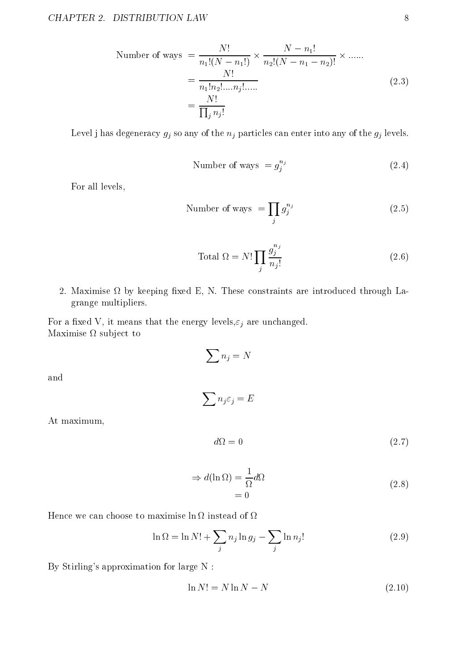Number of ways 
$$
= \frac{N!}{n_1!(N-n_1!)} \times \frac{N-n_1!}{n_2!(N-n_1-n_2)!} \times \dots
$$

$$
= \frac{N!}{n_1! n_2! \dots n_j! \dots}
$$

$$
= \frac{N!}{\prod_j n_j!}
$$
(2.3)

Level j has degeneracy  $g_j$  so any of the  $n_j$  particles can enter into any of the  $g_j$  levels.

Number of ways = 
$$
g_j^{n_j}
$$
 (2.4)

For all levels,

Number of ways 
$$
= \prod_{j} g_j^{n_j}
$$
 (2.5)

Total 
$$
\Omega = N! \prod_{j} \frac{g_j^{n_j}}{n_j!}
$$
 (2.6)

2. Maximise bykeeping xed E, N. These constraints are introduced through Lagrange multipliers.

For a fixed V, it means that the energy levels,  $\varepsilon_j$  are unchanged. Maximise to the control of the control of the control of the control of the control of the control of the control of the control of the control of the control of the control of the control of the control of the control of

$$
\sum n_j=N
$$

the contract of the contract of the contract of the contract of the contract of the contract of the contract of nj "j" je bila za njegova na njegova na njegova na njegova na njegova na njegova na njegova na njegova na njegova na

and

At maximum,

$$
d\Omega = 0 \tag{2.7}
$$

$$
\Rightarrow d(\ln \Omega) = \frac{1}{\Omega} d\Omega
$$
  
= 0 (2.8)

$$
\ln \Omega = \ln N! + \sum_{j} n_j \ln g_j - \sum_{j} \ln n_j! \tag{2.9}
$$

By Stirling's approximation for large N :

$$
\ln N! = N \ln N - N \tag{2.10}
$$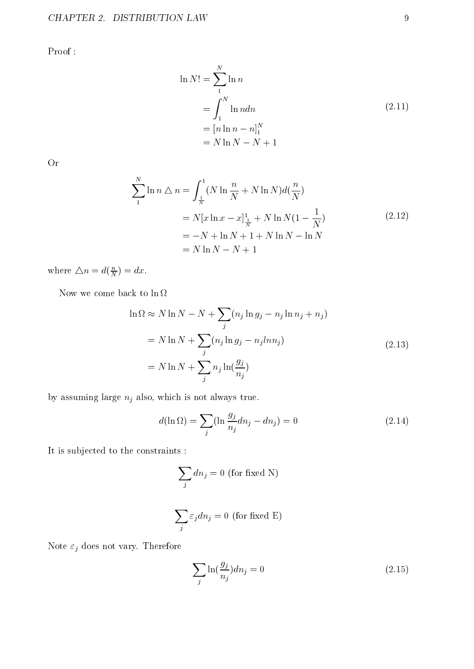Proof :

$$
\ln N! = \sum_{1}^{N} \ln n
$$
  
=  $\int_{1}^{N} \ln n dn$   
=  $[n \ln n - n]_{1}^{N}$   
=  $N \ln N - N + 1$  (2.11)

Or

$$
\sum_{1}^{N} \ln n \bigtriangleup n = \int_{\frac{1}{N}}^{1} (N \ln \frac{n}{N} + N \ln N) d(\frac{n}{N})
$$
  
=  $N[x \ln x - x]_{\frac{1}{N}}^{1} + N \ln N (1 - \frac{1}{N})$   
=  $-N + \ln N + 1 + N \ln N - \ln N$   
=  $N \ln N - N + 1$  (2.12)

where  $\triangle n = d(\frac{n}{N}) = dx$ .

Now we come back to  $\ln \Omega$ 

$$
\ln \Omega \approx N \ln N - N + \sum_{j} (n_j \ln g_j - n_j \ln n_j + n_j)
$$
  
= N \ln N +  $\sum_{j} (n_j \ln g_j - n_j l n n_j)$   
= N \ln N +  $\sum_{j} n_j \ln(\frac{g_j}{n_j})$  (2.13)

by assuming large  $\boldsymbol{n}_j$  also, which is not always true.

$$
d(\ln \Omega) = \sum_{j} (\ln \frac{g_j}{n_j} dn_j - dn_j) = 0
$$
\n(2.14)

It is subjected to the constraints :

$$
\sum_j dn_j = 0 \text{ (for fixed N)}
$$

$$
\sum_j \varepsilon_j d n_j = 0 \text{ (for fixed E)}
$$

Note  $\varepsilon_j$  does not vary. Therefore

$$
\sum_{j} \ln\left(\frac{g_j}{n_j}\right) dn_j = 0\tag{2.15}
$$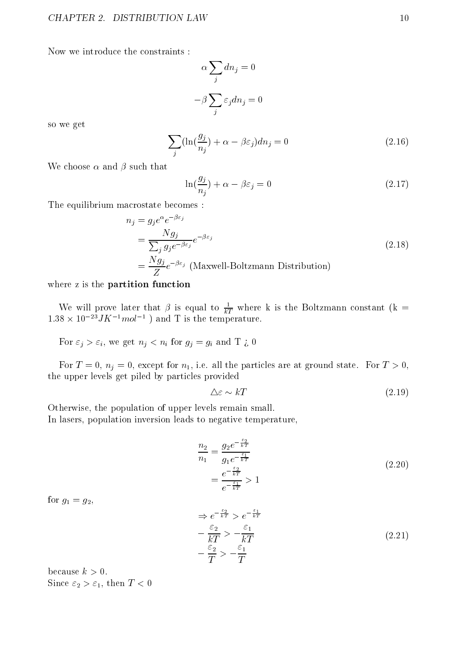Now we introduce the constraints :

$$
\alpha \sum_{j} dn_j = 0
$$

$$
-\beta \sum_{j} \varepsilon_j dn_j = 0
$$

so we get

$$
\sum_{j} (\ln(\frac{g_j}{n_j}) + \alpha - \beta \varepsilon_j) dn_j = 0
$$
\n(2.16)

We choose  $\alpha$  and  $\beta$  such that

$$
\ln(\frac{g_j}{n_j}) + \alpha - \beta \varepsilon_j = 0 \tag{2.17}
$$

The equilibrium macrostate becomes :

$$
n_j = g_j e^{\alpha} e^{-\beta \varepsilon_j}
$$
  
= 
$$
\frac{Ng_j}{\sum_j g_j e^{-\beta \varepsilon_j}} e^{-\beta \varepsilon_j}
$$
  
= 
$$
\frac{Ng_j}{Z} e^{-\beta \varepsilon_j}
$$
 (Maxwell-Boltzmann Distribution) (2.18)

where z is the partition function

We will prove later that  $\beta$  is equal to  $\overline{kT}$  where k is the Boltzmann constant (k = 1.58  $\times$  10  $^{-1}$  J  $\Lambda$   $^{-1}$   $mol$   $^{-1}$  ) and T is the temperature.

For  $\varepsilon_j > \varepsilon_i$ , we get  $n_j < n_i$  for  $g_j = g_i$  and T  $\zeta$  0

For  $T = 0$ ,  $n<sub>j</sub> = 0$ , except for  $n<sub>1</sub>$ , i.e. all the particles are at ground state. For  $T > 0$ , the upper levels get piled by particles provided

$$
\Delta \varepsilon \sim kT \tag{2.19}
$$

Otherwise, the population of upper levels remain small. In lasers, population inversion leads to negative temperature,

$$
\frac{n_2}{n_1} = \frac{g_2 e^{-\frac{\varepsilon_2}{kT}}}{g_1 e^{-\frac{\varepsilon_1}{kT}}} \\
= \frac{e^{-\frac{\varepsilon_1}{kT}}}{e^{-\frac{\varepsilon_1}{kT}}} > 1
$$
\n(2.20)

for  $g_1 = g_2$ ,

$$
\Rightarrow e^{-\frac{\varepsilon_2}{kT}} > e^{-\frac{\varepsilon_1}{kT}}
$$
  

$$
-\frac{\varepsilon_2}{kT} > -\frac{\varepsilon_1}{kT}
$$
  

$$
-\frac{\varepsilon_2}{T} > -\frac{\varepsilon_1}{T}
$$
  
(2.21)

because  $k > 0$ . Since  $\varepsilon_2 > \varepsilon_1$ , then  $T < 0$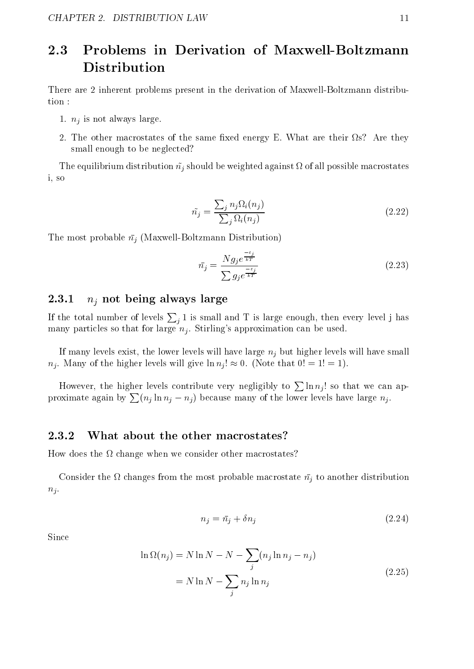### 2.3 Problems in Derivation of Maxwell-Boltzmann Distribution

There are 2 inherent problems present in the derivation of Maxwell-Boltzmann distribution :

- 1.  $n_j$  is not always large.
- 2. The other macrostates of the same xed energy E. What are their s? Are they small enough to be neglected?

The equipped and distribution  $\mu$  should be weighted against  $\sigma$  and  $\sigma$  are well possible macrostates and i, so

$$
\tilde{n}_j = \frac{\sum_j n_j \Omega_i(n_j)}{\sum_j \Omega_i(n_j)}\tag{2.22}
$$

The most probable  $\bar{n}_i$  (Maxwell-Boltzmann Distribution)

$$
\bar{n}_j = \frac{N g_j e^{\frac{-\varepsilon_j}{kT}}}{\sum g_j e^{\frac{-\varepsilon_j}{kT}}} \tag{2.23}
$$

#### 2.3.1 $n_i$  not being always large

If the total number of levels  $\sum_i 1$  is small and T is large enough, then every level j has many particles so that for large  $n<sub>j</sub>$ . Stirling's approximation can be used.

If many levels exist, the lower levels will have large  $n_i$  but higher levels will have small  $n_i$ . Many of the higher levels will give  $\ln n_i! \approx 0$ . (Note that  $0! = 1! = 1$ ).

However, the higher levels contribute very negligibly to  $\sum \ln n_i!$  so that we can approximate again by  $\sum (n_i \ln n_i - n_i)$  because many of the lower levels have large  $n_i$ .

#### 2.3.2What about the other macrostates?

How does the change when we consider other macrostates?

consider the most probable most probable macrostate neutron the most probable macrostate neutron of the most pro  $n_i$ .

$$
n_j = \bar{n}_j + \delta n_j \tag{2.24}
$$

$$
\ln \Omega(n_j) = N \ln N - N - \sum_j (n_j \ln n_j - n_j)
$$
  
= N \ln N - \sum\_j n\_j \ln n\_j (2.25)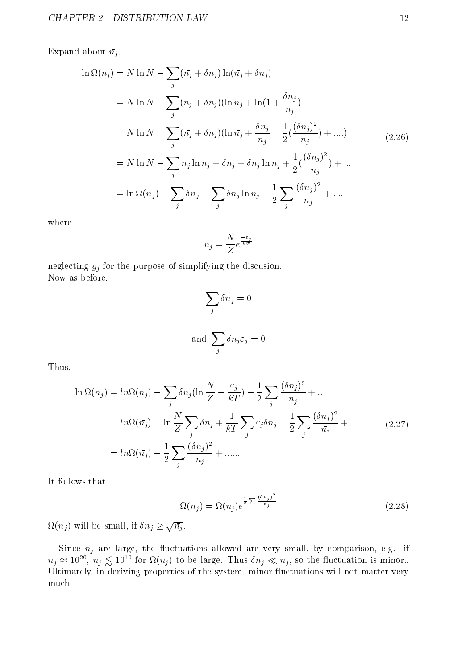Expand about  $\bar{n}_j$ ,

$$
\ln \Omega(n_j) = N \ln N - \sum_{j} (\bar{n_j} + \delta n_j) \ln(\bar{n_j} + \delta n_j)
$$
  
= N \ln N - \sum\_{j} (\bar{n\_j} + \delta n\_j) (\ln \bar{n\_j} + \ln(1 + \frac{\delta n\_j}{n\_j})  
= N \ln N - \sum\_{j} (\bar{n\_j} + \delta n\_j) (\ln \bar{n\_j} + \frac{\delta n\_j}{\bar{n\_j}} - \frac{1}{2} (\frac{(\delta n\_j)^2}{n\_j}) + ....)  
= N \ln N - \sum\_{j} \bar{n\_j} \ln \bar{n\_j} + \delta n\_j + \delta n\_j \ln \bar{n\_j} + \frac{1}{2} (\frac{(\delta n\_j)^2}{n\_j}) + ....  
= \ln \Omega(\bar{n\_j}) - \sum\_{j} \delta n\_j - \sum\_{j} \delta n\_j \ln n\_j - \frac{1}{2} \sum\_{j} \frac{(\delta n\_j)^2}{n\_j} + ....

where

$$
\bar{n_j} = \frac{N}{Z} e^{\frac{-\varepsilon_j}{kT}}
$$

neglecting  $g_j$  for the purpose of simplifying the discussion. Now as before,

$$
\sum_{j} \delta n_{j} = 0
$$
  
and 
$$
\sum_{j} \delta n_{j} \varepsilon_{j} = 0
$$

Thus,

$$
\ln \Omega(n_j) = \ln \Omega(\bar{n_j}) - \sum_j \delta n_j (\ln \frac{N}{Z} - \frac{\varepsilon_j}{kT}) - \frac{1}{2} \sum_j \frac{(\delta n_j)^2}{\bar{n_j}} + \dots
$$
  

$$
= \ln \Omega(\bar{n_j}) - \ln \frac{N}{Z} \sum_j \delta n_j + \frac{1}{kT} \sum_j \varepsilon_j \delta n_j - \frac{1}{2} \sum_j \frac{(\delta n_j)^2}{\bar{n_j}} + \dots
$$
  

$$
= \ln \Omega(\bar{n_j}) - \frac{1}{2} \sum_j \frac{(\delta n_j)^2}{\bar{n_j}} + \dots
$$
 (2.27)

It follows that

$$
\Omega(n_j) = \Omega(\bar{n_j})e^{\frac{1}{2}\sum \frac{(\delta n_j)^2}{\bar{n_j}}}
$$
\n(2.28)

 $\Omega(n_i)$  will be small, if  $\delta n_i \geq \sqrt{n_i}$ .

Since nj are large, the uctuations allowed are very small, by comparison, e.g. if  $n_j \approx 10^{-1}$ ,  $n_j \gtrsim 10^{-1}$  for  $\Omega(n_j)$  to be large. Thus  $\delta n_j \ll n_j$ , so the inictuation is minor.. Ultimately, in deriving properties of the system, minor fluctuations will not matter very much.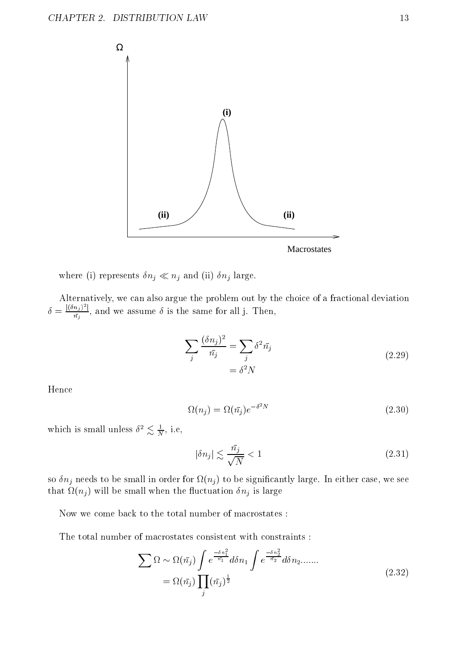

where (i) represents  $\delta n_j \ll n_j$  and (ii)  $\delta n_j$  large.

 $\delta = \frac{|(\delta n_j)^2|}{n_j}$ , and we assume  $\delta$  is the same for all j. Then,

$$
\sum_{j} \frac{(\delta n_j)^2}{\bar{n}_j} = \sum_{j} \delta^2 \bar{n}_j
$$
  
=  $\delta^2 N$  (2.29)

Hence

$$
\Omega(n_j) = \Omega(\bar{n}_j) e^{-\delta^2 N} \tag{2.30}
$$

which is small unless  $\sigma^2 \gtrsim \frac{1}{N}$ , i.e,

$$
|\delta n_j| \lesssim \frac{\bar{n_j}}{\sqrt{N}} < 1 \tag{2.31}
$$

so nj encome to be seemed en order for eiligg is be seemedently energy to be seemed that in either case, we se (intervals) with the small when the small model when the small  $\alpha$  is large  $\alpha$  .

Now we come back to the total number of macrostates :

The total number of macrostates consistent with constraints :

$$
\sum \Omega \sim \Omega(\bar{n_j}) \int e^{\frac{-\delta n_1^2}{\bar{n_1}}} d\delta n_1 \int e^{\frac{-\delta n_2^2}{\bar{n_2}}} d\delta n_2 \dots \dots
$$
  
=  $\Omega(\bar{n_j}) \prod_j (\bar{n_j})^{\frac{1}{2}}$  (2.32)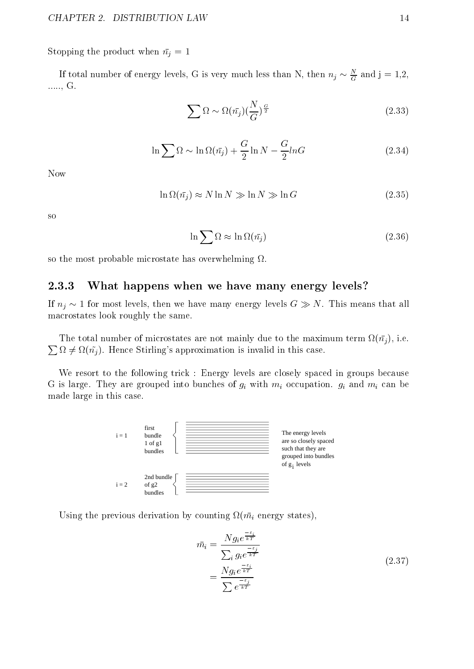Stopping the product when  $\bar{n}_j = 1$ 

If total number of energy levels, G is very much less than N, then  $n_j \sim \frac{1}{G}$  and  ${\tt J} = {\tt I}, {\tt Z},$ ....., G.

$$
\sum \Omega \sim \Omega(\bar{n_j}) (\frac{N}{G})^{\frac{G}{2}} \tag{2.33}
$$

$$
\ln \sum \Omega \sim \ln \Omega(\bar{n}_j) + \frac{G}{2} \ln N - \frac{G}{2} ln G \qquad (2.34)
$$

Now

$$
\ln \Omega(\bar{n}_j) \approx N \ln N \gg \ln N \gg \ln G \tag{2.35}
$$

so

$$
\ln \sum \Omega \approx \ln \Omega(\bar{n}_j) \tag{2.36}
$$

so the most probable microstate has overwhelming .

#### 2.3.3What happens when we have many energy levels?

If  $n_j \sim 1$  for most levels, then we have many energy levels  $G \gg N$ . This means that all macrostates look roughly the same.

<u>Product</u> the contract of the contract of the contract of the contract of the contract of the contract of the contract of the contract of the contract of the contract of the contract of the contract of the contract of the  $\mathcal{L}$  are not microstates are not microstates are not mainly due to the mainly due to the maximum term in  $\Omega \neq \Omega(\tilde{n}_i)$ . Hence Stirling's approximation is invalid in this case.

We resort to the following trick : Energy levels are closely spaced in groups because G is large. They are grouped into bunches of  $g_i$  with  $m_i$  occupation.  $g_i$  and  $m_i$  can be made large in this case.



Using the previous derivation by counting (mi energy states),

$$
\bar{m}_i = \frac{Ng_i e^{\frac{-\varepsilon_i}{kT}}}{\sum_i g_i e^{\frac{-\varepsilon_i}{kT}}}
$$
\n
$$
= \frac{Ng_i e^{\frac{-\varepsilon_i}{kT}}}{\sum e^{\frac{-\varepsilon_i}{kT}}}
$$
\n(2.37)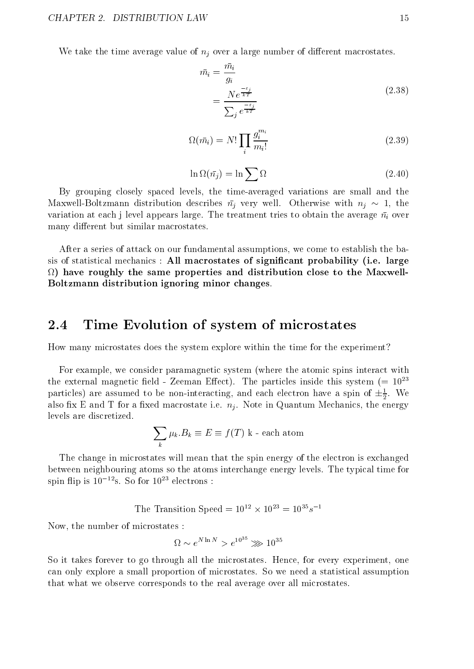We take the time average value of  $n_i$  over a large number of different macrostates.

$$
\bar{m}_i = \frac{m_i}{g_i}
$$
\n
$$
= \frac{Ne^{\frac{-\varepsilon_i}{kT}}}{\sum_i e^{\frac{-\varepsilon_j}{kT}}}
$$
\n(2.38)

$$
\Omega(\bar{m}_i) = N! \prod_i \frac{g_i^{m_i}}{m_i!}
$$
\n(2.39)

$$
\ln \Omega(\bar{n}_j) = \ln \sum \Omega \tag{2.40}
$$

By grouping closely spaced levels, the time-averaged variations are small and the Maxwell-Boltzmann distribution describes  $\bar{n}_j$  very well. Otherwise with  $n_j \sim 1$ , the variation at each j level appears large. The treatment tries to obtain the average  $\bar{n}_i$  over many different but similar macrostates.

After a series of attack on our fundamental assumptions, we come to establish the basis of statistical mechanics : All macrostates of signicant probability (i.e. large ) have roughly the same properties and distribution close to the Maxwell-Boltzmann distribution ignoring minor changes.

#### Time Evolution of system of microstates 2.4

How many microstates does the system explore within the time for the experiment?

For example, we consider paramagnetic system (where the atomic spins interact with the external magnetic field - Zeeman Effect). The particles inside this system (=  $10^{23}$ particles) are assumed to be non-interacting, and each electron have a spin of  $\pm \frac{1}{2}$ . We also xed  $\equiv$  also the control macrostate i.e. note i.e. nj . Note i.e.  $\eta$  also in the energy  $\eta$  i.e.  $\eta$  , levels are discretized.

$$
\sum_{k} \mu_{k}.B_{k} \equiv E \equiv f(T) \text{ k - each atom}
$$

The change in microstates will mean that the spin energy of the electron is exchanged between neighbouring atoms so the atoms interchange energy levels. The typical time for spin flip is  $10^{-12}$ s. So for  $10^{23}$  electrons :

The Transition Speed  $= 10^{-7} \times 10^{-7} = 10^{-7} s^{-7}$ 

Now, the number of microstates :

$$
\Omega \sim e^{N \ln N} > e^{10^{35}} \gg 10^{35}
$$

So it takes forever to go through all the microstates. Hence, for every experiment, one can only explore a small proportion of microstates. So we need a statistical assumption that what we observe corresponds to the real average over all microstates.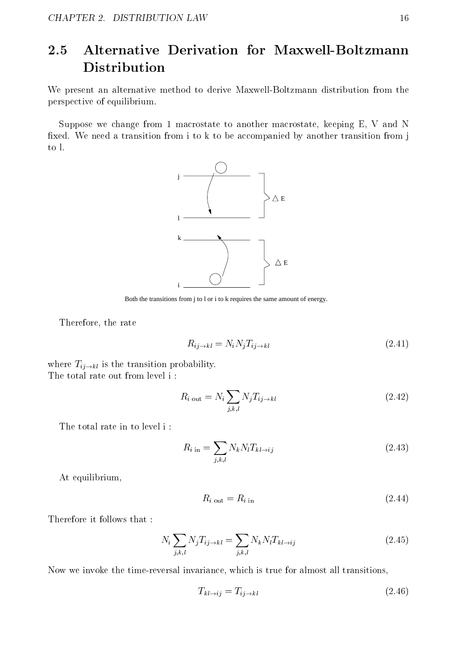### 2.5 Alternative Derivation for Maxwell-Boltzmann Distribution

We present an alternative method to derive Maxwell-Boltzmann distribution from the perspective of equilibrium.

Suppose we change from 1 macrostate to another macrostate, keeping E, V and N fixed. We need a transition from i to k to be accompanied by another transition from j to l.



Both the transitions from i to l or i to k requires the same amount of energy.

Therefore, the rate

$$
R_{ij \to kl} = N_i N_j T_{ij \to kl} \tag{2.41}
$$

where  $T_{ij\rightarrow kl}$  is the transition probability. The total rate out from level i :

$$
R_{i \text{ out}} = N_i \sum_{j,k,l} N_j T_{ij \to kl} \tag{2.42}
$$

The total rate in to level i :

$$
R_{i \text{ in}} = \sum_{j,k,l} N_k N_l T_{kl \to ij} \tag{2.43}
$$

At equilibrium,

$$
R_{i \text{ out}} = R_{i \text{ in}} \tag{2.44}
$$

Therefore it follows that :

$$
N_i \sum_{j,k,l} N_j T_{ij \to kl} = \sum_{j,k,l} N_k N_l T_{kl \to ij} \tag{2.45}
$$

Now we invoke the time-reversal invariance, which is true for almost all transitions,

$$
T_{kl \to ij} = T_{ij \to kl} \tag{2.46}
$$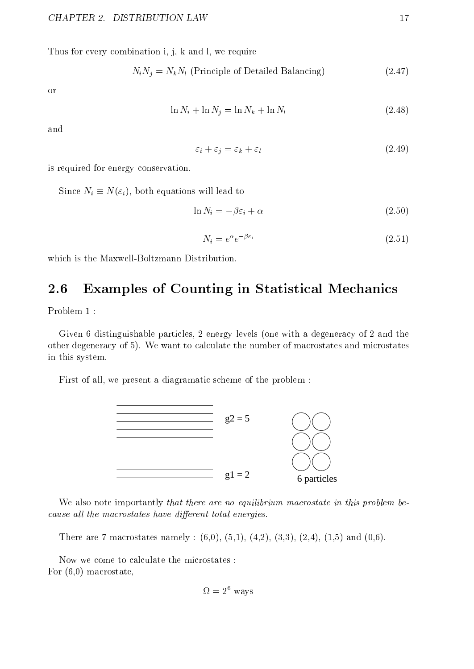Thus for every combination i, j, k and l, we require

$$
N_i N_j = N_k N_l
$$
 (Principle of Detailed Balancing) \t(2.47)

or

$$
\ln N_i + \ln N_j = \ln N_k + \ln N_l \tag{2.48}
$$

and

$$
\varepsilon_i + \varepsilon_j = \varepsilon_k + \varepsilon_l \tag{2.49}
$$

is required for energy conservation.

Since  $N_i \equiv N(\varepsilon_i)$ , both equations will lead to

$$
\ln N_i = -\beta \varepsilon_i + \alpha \tag{2.50}
$$

$$
N_i = e^{\alpha} e^{-\beta \varepsilon_i} \tag{2.51}
$$

which is the Maxwell-Boltzmann Distribution.

### 2.6 Examples of Counting in Statistical Mechanics

Problem 1 :

Given 6 distinguishable particles, 2 energy levels (one with a degeneracy of 2 and the other degeneracy of 5). We want to calculate the number of macrostates and microstates in this system.

First of all, we present a diagramatic scheme of the problem :



We also note importantly that there are no equilibrium macrostate in this problem because all the macrostates have alfferent total energies.  $\;$ 

There are 7 macrostates namely :  $(6,0)$ ,  $(5,1)$ ,  $(4,2)$ ,  $(3,3)$ ,  $(2,4)$ ,  $(1,5)$  and  $(0,6)$ .

Now we come to calculate the microstates : For (6,0) macrostate,

$$
\Omega = 2^{\circ} \text{ ways}
$$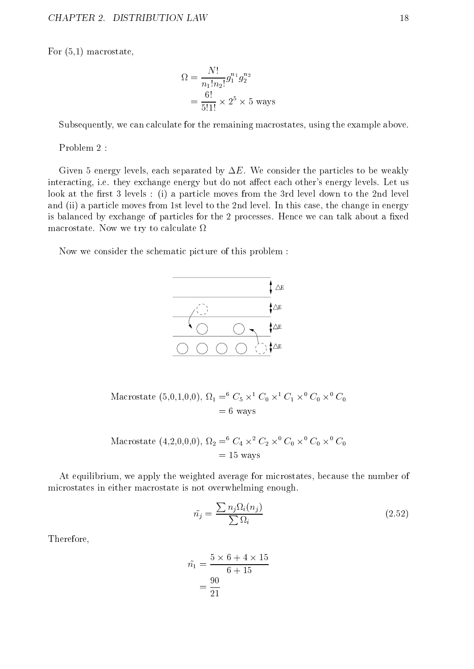For (5,1) macrostate,

$$
\Omega = \frac{N!}{n_1! n_2!} g_1^{n_1} g_2^{n_2}
$$
  
=  $\frac{6!}{5!1!} \times 2^5 \times 5$  ways

Subsequently, we can calculate for the remaining macrostates, using the example above.

Problem 2 :

Given 5 energy levels, each separated by  $\Delta E$ . We consider the particles to be weakly interacting, i.e. they exchange energy but do not affect each other's energy levels. Let us look at the first 3 levels : (i) a particle moves from the 3rd level down to the 2nd level and (ii) a particle moves from 1st level to the 2nd level. In this case, the change in energy is balanced by exchange of particles for the 2 processes. Hence we can talk about a fixed macrostate. Now we try to calculate  $\Omega$ 

Now we consider the schematic picture of this problem :



Macrostate (5,0,1,0,0),  $\Omega_1 = C_5 \times C_0 \times C_1 \times C_0 \times C_0$  $=6$  ways

$$
\begin{aligned} \text{Macrostate } (4,2,0,0,0), \ \Omega_2 &= \,^6 C_4 \times^2 C_2 \times^0 C_0 \times^0 C_0 \times^0 C_0 \\ &= 15 \text{ ways} \end{aligned}
$$

At equilibrium, we apply the weighted average for microstates, because the number of microstates in either macrostate is not overwhelming enough.

$$
\tilde{n_j} = \frac{\sum n_j \Omega_i(n_j)}{\sum \Omega_i} \tag{2.52}
$$

Therefore,

$$
\tilde{n_1} = \frac{5 \times 6 + 4 \times 15}{6 + 15} = \frac{90}{21}
$$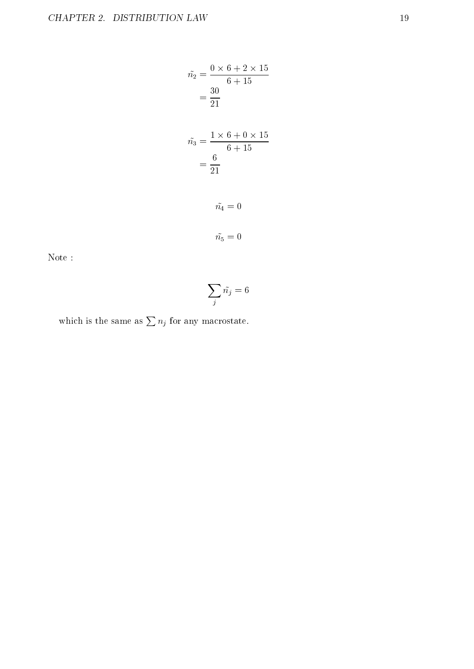$$
\tilde{n_2} = \frac{0 \times 6 + 2 \times 15}{6 + 15}
$$
  
=  $\frac{30}{21}$   

$$
\tilde{n_3} = \frac{1 \times 6 + 0 \times 15}{6 + 15}
$$
  
=  $\frac{6}{21}$   

$$
\tilde{n_4} = 0
$$
  

$$
\tilde{n_5} = 0
$$

Note :

$$
\sum_j \tilde{n_j}=6
$$

which is the same as  $\sum n_i$  for any macrostate.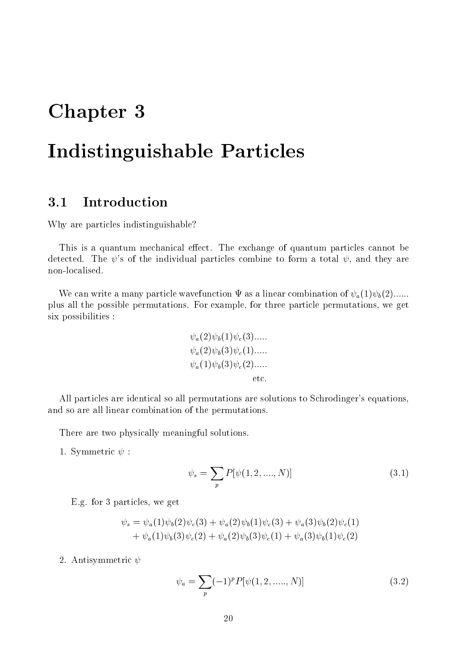## Chapter 3

## Indistinguishable Particles

#### **Introduction**  $3.1$

Why are particles indistinguishable?

This is a quantum mechanical effect. The exchange of quantum particles cannot be detected. The  $\psi$ 's of the individual particles combine to form a total  $\psi$ , and they are non-localised.

We can write a many particle wavefunction  $\Psi$  as a linear combination of  $\psi_a(1)\psi_b(2)$ ...... plus all the possible permutations. For example, for three particle permutations, we get six possibilities :

$$
\psi_a(2)\psi_b(1)\psi_c(3)......
$$
  
\n
$$
\psi_a(2)\psi_b(3)\psi_c(1)......
$$
  
\n
$$
\psi_a(1)\psi_b(3)\psi_c(2)......
$$
  
\netc.

All particles are identical so all permutations are solutions to Schrodinger's equations, and so are all linear combination of the permutations.

There are two physically meaningful solutions.

1. Symmetric  $\psi$ :

$$
\psi_s = \sum_p P[\psi(1, 2, \dots, N)] \tag{3.1}
$$

E.g. for 3 particles, we get

$$
\psi_s = \psi_a(1)\psi_b(2)\psi_c(3) + \psi_a(2)\psi_b(1)\psi_c(3) + \psi_a(3)\psi_b(2)\psi_c(1) + \psi_a(1)\psi_b(3)\psi_c(2) + \psi_a(2)\psi_b(3)\psi_c(1) + \psi_a(3)\psi_b(1)\psi_c(2)
$$

2. Antisymmetric  $\psi$ 

$$
\psi_a = \sum_p (-1)^p P[\psi(1, 2, \dots, N)] \tag{3.2}
$$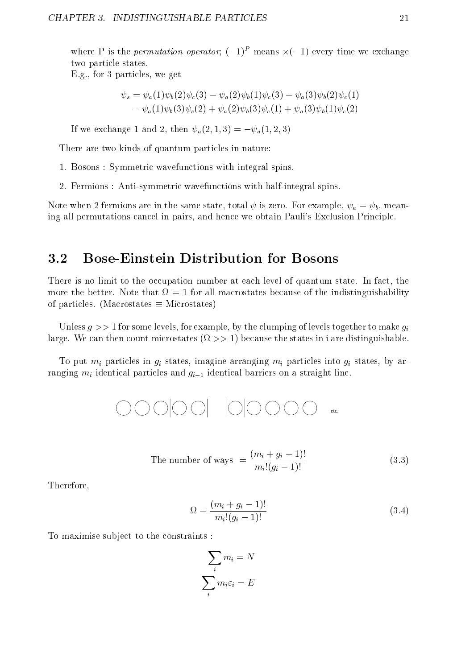where P is the *permutation operator*;  $(-1)$  - means  $x(-1)$  every time we exchange two particle states.

E.g., for 3 particles, we get

$$
\psi_s = \psi_a(1)\psi_b(2)\psi_c(3) - \psi_a(2)\psi_b(1)\psi_c(3) - \psi_a(3)\psi_b(2)\psi_c(1) - \psi_a(1)\psi_b(3)\psi_c(2) + \psi_a(2)\psi_b(3)\psi_c(1) + \psi_a(3)\psi_b(1)\psi_c(2)
$$

If we exchange 1 and 2, then  $\psi_a(2, 1, 3) = -\psi_a(1, 2, 3)$ 

There are two kinds of quantum particles in nature:

- 1. Bosons : Symmetric wavefunctions with integral spins.
- 2. Fermions : Anti-symmetric wavefunctions with half-integral spins.

Note when 2 fermions are in the same state, total  $\psi$  is zero. For example,  $\psi_a = \psi_b$ , meaning all permutations cancel in pairs, and hence we obtain Pauli's Exclusion Principle.

#### 3.2 3.2 Bose-Einstein Distribution for Bosons

There is no limit to the occupation number at each level of quantum state. In fact, the more that better. Note that  $\mathbf{M}$  for all matrix  $\mathbf{M}$ of particles. (Macrostates  $\equiv$  Microstates)

Unless  $q \gg 1$  for some levels, for example, by the clumping of levels together to make  $q_i$ large. We can then count microstates (i.e.  $\mathcal{L}$  ) because the states in in indicates in in indicates in in

To put  $m_i$  particles in  $g_i$  states, imagine arranging  $m_i$  particles into  $g_i$  states, by arranging  $m_i$  identical particles and  $g_{i-1}$  identical barriers on a straight line.

$$
\text{O}\text{O}\text{O}|\text{O}\text{O}|\text{O}|\text{O}|\text{O}\text{O}\text{O}\text{O}\text{C}|\text{etc.}
$$

The number of ways 
$$
=\frac{(m_i + g_i - 1)!}{m_i!(g_i - 1)!}
$$
 (3.3)

Therefore,

$$
\Omega = \frac{(m_i + g_i - 1)!}{m_i!(g_i - 1)!} \tag{3.4}
$$

To maximise subject to the constraints :

$$
\sum_{i} m_{i} = N
$$

$$
\sum_{i} m_{i} \varepsilon_{i} = E
$$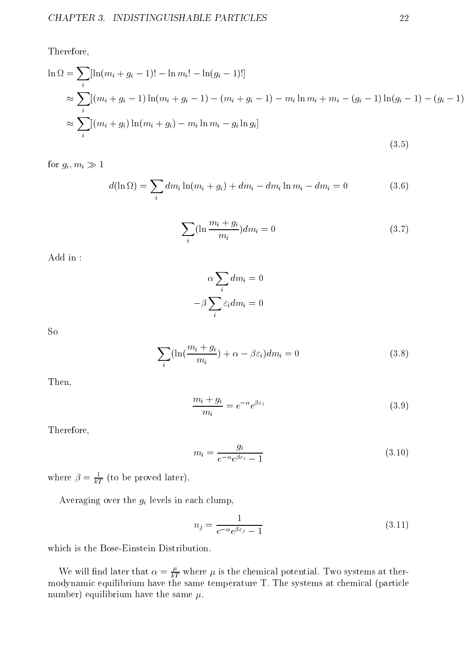Therefore,

$$
\ln \Omega = \sum_{i} [\ln(m_i + g_i - 1)! - \ln m_i! - \ln(g_i - 1)!]
$$
  
\n
$$
\approx \sum_{i} [(m_i + g_i - 1) \ln(m_i + g_i - 1) - (m_i + g_i - 1) - m_i \ln m_i + m_i - (g_i - 1) \ln(g_i - 1) - (g_i - 1)]
$$
  
\n
$$
\approx \sum_{i} [(m_i + g_i) \ln(m_i + g_i) - m_i \ln m_i - g_i \ln g_i]
$$
\n(3.5)

for  $g_i, m_i \gg 1$ 

$$
d(\ln \Omega) = \sum_{i} dm_i \ln(m_i + g_i) + dm_i - dm_i \ln m_i - dm_i = 0
$$
 (3.6)

$$
\sum_{i} (\ln \frac{m_i + g_i}{m_i}) dm_i = 0 \tag{3.7}
$$

Add in :

$$
\alpha \sum_{i} dm_i = 0
$$

$$
-\beta \sum_{i} \varepsilon_i dm_i = 0
$$

So

$$
\sum_{i} (\ln(\frac{m_i + g_i}{m_i}) + \alpha - \beta \varepsilon_i) dm_i = 0 \tag{3.8}
$$

Then,

$$
\frac{m_i + g_i}{m_i} = e^{-\alpha} e^{\beta \varepsilon_i} \tag{3.9}
$$

Therefore,

$$
m_i = \frac{g_i}{e^{-\alpha}e^{\beta \varepsilon_i} - 1} \tag{3.10}
$$

where  $\rho = \frac{1}{kT}$  (to be proved later).

Averaging over the  $g_i$  levels in each clump,

$$
n_j = \frac{1}{e^{-\alpha}e^{\beta \varepsilon_j} - 1} \tag{3.11}
$$

which is the Bose-Einstein Distribution.

We will find later that  $\alpha = \frac{E}{kT}$  where  $\mu$  is the chemical potential. Two systems at thermodynamic equilibrium have the same temperature T. The systems at chemical (particle number) equilibrium have the same  $\mu$ .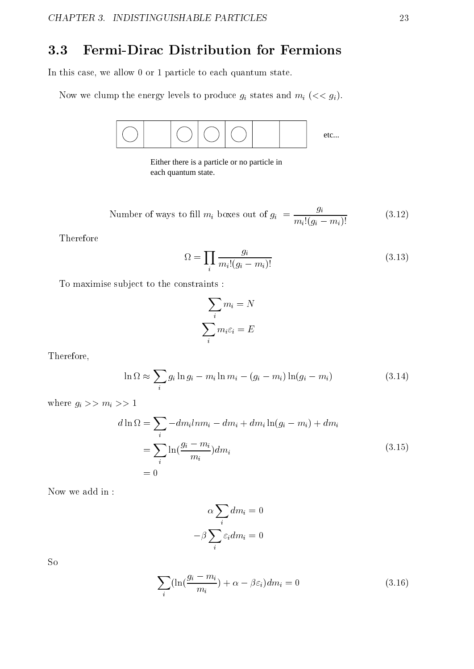### 3.3 Fermi-Dirac Distribution for Fermions

In this case, we allow 0 or 1 particle to each quantum state.

Now we clump the energy levels to produce  $g_i$  states and  $m_i$  ( $<< g_i$ ).



Either there is a particle or no particle in each quantum state.

 $\mathcal{L}$  and the state of the state of the state of  $\mathcal{L}$  , and the state of given out of  $\mathcal{L}$  $\boldsymbol{\sigma}$  $m_i!(g_i - m_i)!$  (3.12)

Therefore

$$
\Omega = \prod_{i} \frac{g_i}{m_i!(g_i - m_i)!} \tag{3.13}
$$

To maximise subject to the constraints :

$$
\sum_{i} m_{i} = N
$$

$$
\sum_{i} m_{i} \varepsilon_{i} = E
$$

Therefore,

$$
\ln \Omega \approx \sum_{i} g_i \ln g_i - m_i \ln m_i - (g_i - m_i) \ln (g_i - m_i)
$$
\n(3.14)

where  $g_i >> m_i >> 1$ 

$$
d \ln \Omega = \sum_{i} -dm_i ln m_i - dm_i + dm_i \ln(g_i - m_i) + dm_i
$$
  
= 
$$
\sum_{i} \ln(\frac{g_i - m_i}{m_i}) dm_i
$$
 (3.15)  
= 0

Now we add in :

$$
\alpha \sum_{i} dm_i = 0
$$

$$
-\beta \sum_{i} \varepsilon_i dm_i = 0
$$

So

$$
\sum_{i} (\ln(\frac{g_i - m_i}{m_i}) + \alpha - \beta \varepsilon_i) dm_i = 0 \tag{3.16}
$$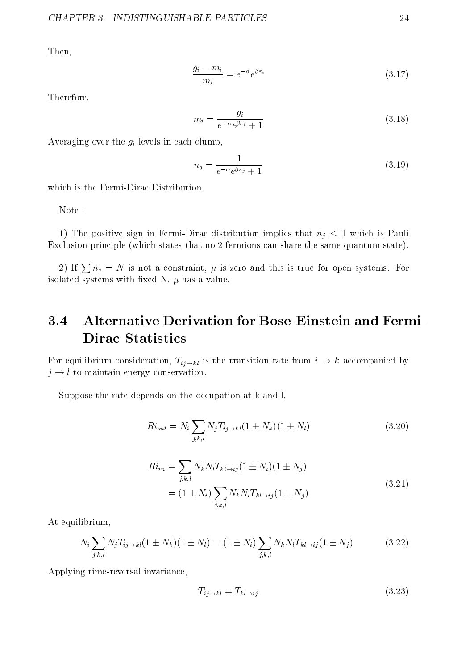Then,

$$
\frac{g_i - m_i}{m_i} = e^{-\alpha} e^{\beta \varepsilon_i} \tag{3.17}
$$

Therefore,

$$
m_i = \frac{g_i}{e^{-\alpha}e^{\beta \varepsilon_i} + 1} \tag{3.18}
$$

Averaging over the  $g_i$  levels in each clump,

$$
n_j = \frac{1}{e^{-\alpha}e^{\beta \varepsilon_j} + 1} \tag{3.19}
$$

which is the Fermi-Dirac Distribution.

Note :

1) The positive sign in Fermi-Dirac distribution implies that  $\bar{n}_j \leq 1$  which is Pauli Exclusion principle (which states that no 2 fermions can share the same quantum state).

2) If  $\sum n_i = N$  is not a constraint,  $\mu$  is zero and this is true for open systems. For isolated systems with fixed N,  $\mu$  has a value.

### 3.4 Alternative Derivation for Bose-Einstein and Fermi-**Dirac Statistics**

For equilibrium consideration,  $T_{ij \to kl}$  is the transition rate from  $i \to k$  accompanied by  $j \rightarrow l$  to maintain energy conservation.

Suppose the rate depends on the occupation at k and l,

$$
Ri_{out} = N_i \sum_{j,k,l} N_j T_{ij \to kl} (1 \pm N_k)(1 \pm N_l)
$$
\n(3.20)

$$
Ri_{in} = \sum_{j,k,l} N_k N_l T_{kl \to ij} (1 \pm N_i) (1 \pm N_j)
$$
  
=  $(1 \pm N_i) \sum_{j,k,l} N_k N_l T_{kl \to ij} (1 \pm N_j)$  (3.21)

At equilibrium,

$$
N_i \sum_{j,k,l} N_j T_{ij \to kl} (1 \pm N_k)(1 \pm N_l) = (1 \pm N_i) \sum_{j,k,l} N_k N_l T_{kl \to ij} (1 \pm N_j)
$$
(3.22)

Applying time-reversal invariance,

$$
T_{ij \to kl} = T_{kl \to ij} \tag{3.23}
$$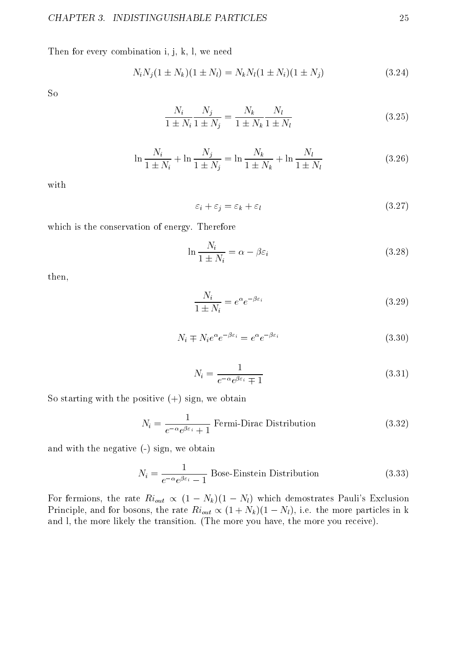Then for every combination i, j, k, l, we need

$$
N_i N_j (1 \pm N_k)(1 \pm N_l) = N_k N_l (1 \pm N_i)(1 \pm N_j)
$$
\n(3.24)

So

$$
\frac{N_i}{1 \pm N_i} \frac{N_j}{1 \pm N_j} = \frac{N_k}{1 \pm N_k} \frac{N_l}{1 \pm N_l}
$$
\n(3.25)

$$
\ln \frac{N_i}{1 \pm N_i} + \ln \frac{N_j}{1 \pm N_j} = \ln \frac{N_k}{1 \pm N_k} + \ln \frac{N_l}{1 \pm N_l}
$$
 (3.26)

with

$$
\varepsilon_i + \varepsilon_j = \varepsilon_k + \varepsilon_l \tag{3.27}
$$

which is the conservation of energy. Therefore

$$
\ln \frac{N_i}{1 \pm N_i} = \alpha - \beta \varepsilon_i \tag{3.28}
$$

then,

$$
\frac{N_i}{1 \pm N_i} = e^{\alpha} e^{-\beta \varepsilon_i} \tag{3.29}
$$

$$
N_i \mp N_i e^{\alpha} e^{-\beta \varepsilon_i} = e^{\alpha} e^{-\beta \varepsilon_i} \tag{3.30}
$$

$$
N_i = \frac{1}{e^{-\alpha}e^{\beta \varepsilon_i} \mp 1} \tag{3.31}
$$

So starting with the positive  $(+)$  sign, we obtain

$$
N_i = \frac{1}{e^{-\alpha}e^{\beta \varepsilon_i} + 1}
$$
 Fermi-Dirac Distribution (3.32)

and with the negative (-) sign, we obtain

$$
N_i = \frac{1}{e^{-\alpha}e^{\beta \varepsilon_i} - 1}
$$
 Bose-Einstein Distribution (3.33)

For fermions, the rate  $Ri_{out} \propto (1 - N_k)(1 - N_l)$  which demostrates Pauli's Exclusion Principle, and for bosons, the rate  $Ri_{out} \propto (1 + N_k)(1 - N_l)$ , i.e. the more particles in k and l, the more likely the transition. (The more you have, the more you receive).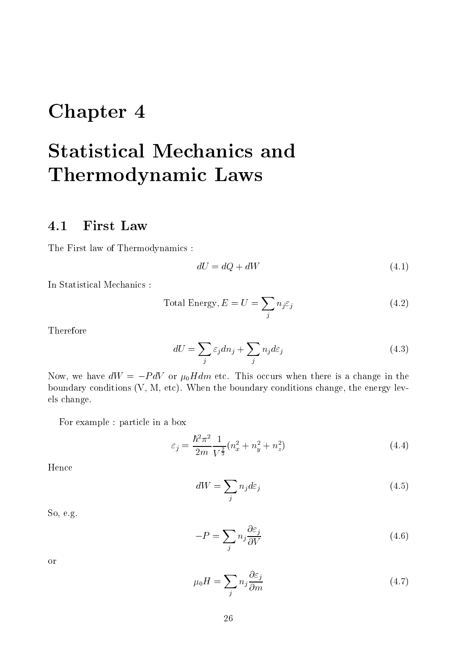## Chapter 4

# Statistical Mechanics and Thermodynamic Laws

### 4.1 First Law

The First law of Thermodynamics :

$$
dU = dQ + dW \tag{4.1}
$$

In Statistical Mechanics :

Total Energy, 
$$
E = U = \sum_{j} n_j \varepsilon_j
$$
 (4.2)

Therefore

$$
dU = \sum_{j} \varepsilon_j dn_j + \sum_{j} n_j d\varepsilon_j \tag{4.3}
$$

Now, we have  $dW = -P dV$  or  $\mu_0 H dm$  etc. This occurs when there is a change in the boundary conditions (V, M, etc). When the boundary conditions change, the energy levels change.

For example : particle in a box

$$
\varepsilon_j = \frac{\hbar^2 \pi^2}{2m} \frac{1}{V^{\frac{2}{3}}} (n_x^2 + n_y^2 + n_z^2)
$$
\n(4.4)

Hence

$$
dW = \sum_{j} n_{j} d\varepsilon_{j} \tag{4.5}
$$

So, e.g.

$$
-P = \sum_{j} n_{j} \frac{\partial \varepsilon_{j}}{\partial V}
$$
 (4.6)

or

$$
\mu_0 H = \sum_j n_j \frac{\partial \varepsilon_j}{\partial m} \tag{4.7}
$$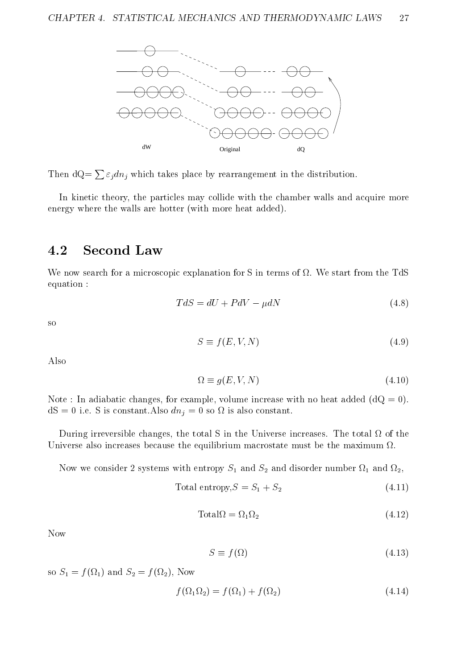

Then  $dQ = \sum \varepsilon_i dn_i$  which takes place by rearrangement in the distribution.

In kinetic theory, the particles may collide with the chamber walls and acquire more energy where the walls are hotter (with more heat added).

### 4.2 Second Law

we now search for a microscopic explanation for S in terms of S in terms of S in terms of S in terms of S in t equation :

$$
TdS = dU + PdV - \mu dN \tag{4.8}
$$

so

$$
S \equiv f(E, V, N) \tag{4.9}
$$

Also

$$
\Omega \equiv g(E, V, N) \tag{4.10}
$$

Note : In adiabatic changes, for example, volume increase with no heat added  $(dQ = 0)$ . dS = 0 i.e.s is constant.Also dnj = 0 so dnj = 0 so dnj = 0 so dnj = 0 so dnj = 0 so dnj = 0 so dnj = 0 so dnj

During irreversible changes, the total S in the Universe increases. The total of the Universe also increases because the equilibrium macrostate must be the maximum  $\Omega$ .

Now we consider 2 systems with entropy S1 and S2 and disorder number <sup>1</sup> and 2,

$$
Total entropy, S = S_1 + S_2 \tag{4.11}
$$

$$
Total\Omega = \Omega_1 \Omega_2 \tag{4.12}
$$

Now

$$
S \equiv f(\Omega) \tag{4.13}
$$

so S2  $\rightarrow$  1, Now  $\rightarrow$  1, Now  $\rightarrow$  1, Now  $\rightarrow$  1, Now  $\rightarrow$  1, Now  $\rightarrow$  1, Now  $\rightarrow$  1, Now  $\rightarrow$  1, Now  $\rightarrow$  1, Now  $\rightarrow$  1, Now  $\rightarrow$  1, Now  $\rightarrow$  1, Now  $\rightarrow$  1, Now  $\rightarrow$  1, Now  $\rightarrow$  1, Now  $\rightarrow$  1, Now  $\rightarrow$  1, Now  $\rightarrow$  1, Now

$$
f(\Omega_1 \Omega_2) = f(\Omega_1) + f(\Omega_2) \tag{4.14}
$$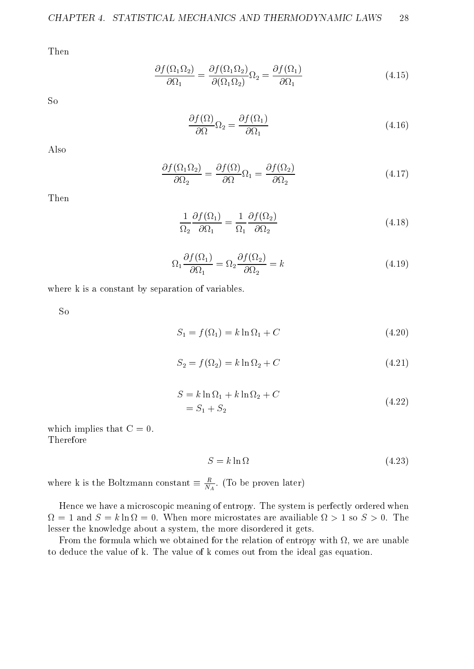Then

$$
\frac{\partial f(\Omega_1 \Omega_2)}{\partial \Omega_1} = \frac{\partial f(\Omega_1 \Omega_2)}{\partial (\Omega_1 \Omega_2)} \Omega_2 = \frac{\partial f(\Omega_1)}{\partial \Omega_1}
$$
(4.15)

So

$$
\frac{\partial f(\Omega)}{\partial \Omega} \Omega_2 = \frac{\partial f(\Omega_1)}{\partial \Omega_1} \tag{4.16}
$$

Also

$$
\frac{\partial f(\Omega_1 \Omega_2)}{\partial \Omega_2} = \frac{\partial f(\Omega)}{\partial \Omega} \Omega_1 = \frac{\partial f(\Omega_2)}{\partial \Omega_2}
$$
(4.17)

Then

$$
\frac{1}{\Omega_2} \frac{\partial f(\Omega_1)}{\partial \Omega_1} = \frac{1}{\Omega_1} \frac{\partial f(\Omega_2)}{\partial \Omega_2}
$$
(4.18)

$$
\Omega_1 \frac{\partial f(\Omega_1)}{\partial \Omega_1} = \Omega_2 \frac{\partial f(\Omega_2)}{\partial \Omega_2} = k \tag{4.19}
$$

where k is a constant by separation of variables.

So

$$
S_1 = f(\Omega_1) = k \ln \Omega_1 + C \tag{4.20}
$$

$$
S_2 = f(\Omega_2) = k \ln \Omega_2 + C \tag{4.21}
$$

$$
S = k \ln \Omega_1 + k \ln \Omega_2 + C
$$
  
= S<sub>1</sub> + S<sub>2</sub> (4.22)

which implies that  $C = 0$ . Therefore

$$
S = k \ln \Omega \tag{4.23}
$$

where k is the Boltzmann constant  $= \frac{N_A}{N_A}$ . (To be proven later)

Hence we have a microscopic meaning of entropy. The system is perfectly ordered when lesser the knowledge about a system, the more disordered it gets.

From the formula which we are unable the formula with  $\mathbb{R}^n$  , we are unable the relation of entropy with  $\mathbb{R}^n$ to deduce the value of k. The value of k comes out from the ideal gas equation.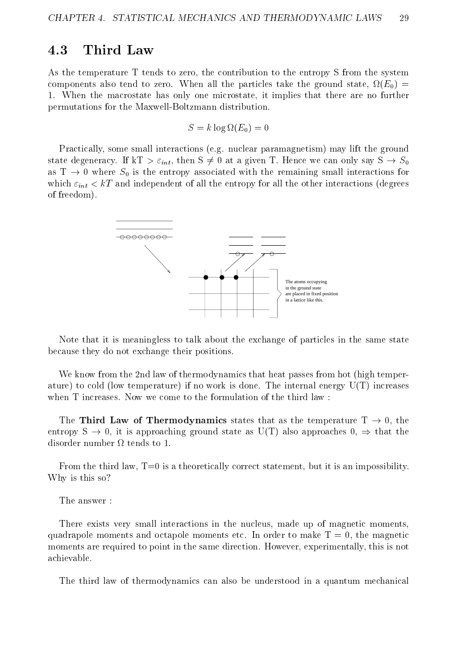### 4.3 Third Law

As the temperature T tends to zero, the contribution to the entropy S from the system components also tend to mean when when all the particles takes the ground state, all the particles to ground state the  $\eta$ 1. When the macrostate has only one microstate, it implies that there are no further permutations for the Maxwell-Boltzmann distribution.

$$
S = k \log \Omega(E_0) = 0
$$

Practically, some small interactions (e.g. nuclear paramagnetism) may lift the ground state degeneracy. If kT  $> \varepsilon_{int}$ , then S  $\neq 0$  at a given T. Hence we can only say S  $\rightarrow S_0$ as  $T \rightarrow 0$  where  $S_0$  is the entropy associated with the remaining small interactions for which  $\varepsilon_{int} < kT$  and independent of all the entropy for all the other interactions (degrees of freedom).



Note that it is meaningless to talk about the exchange of particles in the same state because they do not exchange their positions.

We know from the 2nd law of thermodynamics that heat passes from hot (high temperature) to cold (low temperature) if no work is done. The internal energy  $U(T)$  increases when T increases. Now we come to the formulation of the third law :

The Third Law of Thermodynamics states that as the temperature  $T \rightarrow 0$ , the entropy  $S \to 0$ , it is approaching ground state as U(T) also approaches  $0, \Rightarrow$  that the

From the third law, T=0 is a theoretically correct statement, but it is an impossibility. Why is this so?

The answer :

There exists very small interactions in the nucleus, made up of magnetic moments, quadrapole moments and octapole moments etc. In order to make  $T = 0$ , the magnetic moments are required to point in the same direction. However, experimentally, this is not achievable.

The third law of thermodynamics can also be understood in a quantum mechanical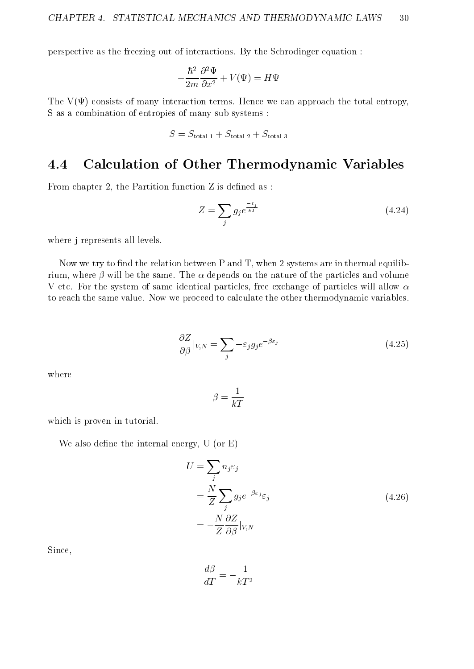perspective as the freezing out of interactions. By the Schrodinger equation :

$$
-\frac{\hbar^2}{2m}\frac{\partial^2\Psi}{\partial x^2} + V(\Psi) = H\Psi
$$

The  $V(\Psi)$  consists of many interaction terms. Hence we can approach the total entropy, S as a combination of entropies of many sub-systems :

$$
S = S_{\text{total 1}} + S_{\text{total 2}} + S_{\text{total 3}}
$$

#### Calculation of Other Thermodynamic Variables  $4.4$

From chapter 2, the Partition function  $Z$  is defined as:

$$
Z = \sum_{j} g_j e^{\frac{-\varepsilon_j}{kT}} \tag{4.24}
$$

where j represents all levels.

Now we try to find the relation between  $P$  and  $T$ , when 2 systems are in thermal equilibrium, where  $\beta$  will be the same. The  $\alpha$  depends on the nature of the particles and volume V etc. For the system of same identical particles, free exchange of particles will allow  $\alpha$ to reach the same value. Now we proceed to calculate the other thermodynamic variables.

$$
\frac{\partial Z}{\partial \beta}|_{V,N} = \sum_{j} -\varepsilon_j g_j e^{-\beta \varepsilon_j} \tag{4.25}
$$

$$
\beta = \frac{1}{kT}
$$

which is proven in tutorial.

We also define the internal energy,  $U$  (or  $E$ )

$$
U = \sum_{j} n_{j} \varepsilon_{j}
$$
  
= 
$$
\frac{N}{Z} \sum_{j} g_{j} e^{-\beta \varepsilon_{j}} \varepsilon_{j}
$$
  
= 
$$
-\frac{N}{Z} \frac{\partial Z}{\partial \beta} |_{V,N}
$$
 (4.26)

Since,

$$
\frac{d\beta}{dT} = -\frac{1}{kT^2}
$$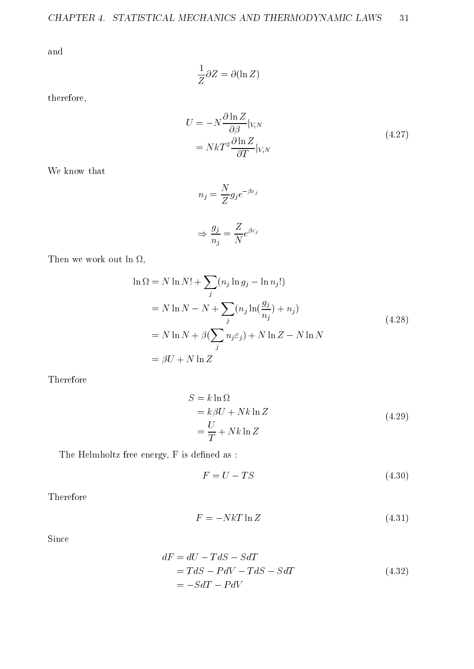and

$$
\frac{1}{Z}\partial Z = \partial(\ln Z)
$$

therefore,

$$
U = -N \frac{\partial \ln Z}{\partial \beta}|_{V,N}
$$
  
=  $NkT^2 \frac{\partial \ln Z}{\partial T}|_{V,N}$  (4.27)

We know that

$$
n_j = \frac{N}{Z} g_j e^{-\beta \varepsilon_j}
$$

$$
\Rightarrow \frac{g_j}{n_j} = \frac{Z}{N} e^{\beta \varepsilon_j}
$$

Then we work out ln ,

$$
\ln \Omega = N \ln N! + \sum_{j} (n_j \ln g_j - \ln n_j!)
$$
  
= N \ln N - N +  $\sum_{j} (n_j \ln(\frac{g_j}{n_j}) + n_j)$   
= N \ln N +  $\beta(\sum_{j} n_j \varepsilon_j) + N \ln Z - N \ln N$   
=  $\beta U + N \ln Z$  (4.28)

Therefore

$$
S = k \ln \Omega
$$
  
=  $k \beta U + N k \ln Z$   
=  $\frac{U}{T} + N k \ln Z$  (4.29)

The Helmholtz free energy, F is defined as :

$$
F = U - TS \tag{4.30}
$$

Therefore

$$
F = -NkT \ln Z \tag{4.31}
$$

Since

$$
dF = dU - TdS - SdT
$$
  
= TdS - PdV - TdS - SdT  
= -SdT - PdV  
(4.32)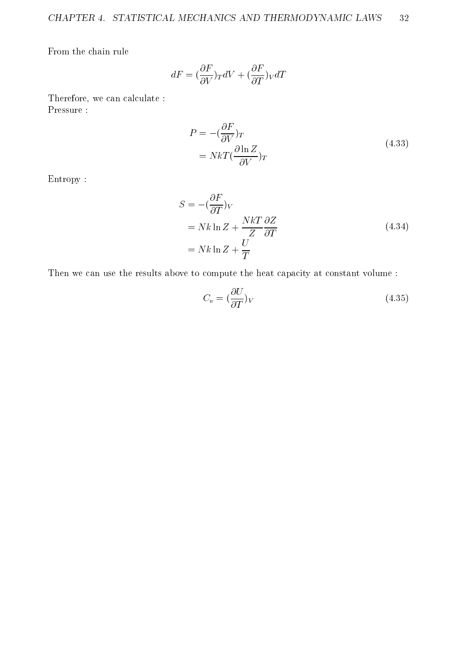From the chain rule

$$
dF = (\frac{\partial F}{\partial V})_T dV + (\frac{\partial F}{\partial T})_V dT
$$

Therefore, we can calculate : Pressure :

$$
P = -\left(\frac{\partial F}{\partial V}\right)_T
$$
  
=  $NkT\left(\frac{\partial \ln Z}{\partial V}\right)_T$  (4.33)

Entropy :

$$
S = -(\frac{\partial F}{\partial T})_V
$$
  
= Nk ln Z +  $\frac{NkT}{Z} \frac{\partial Z}{\partial T}$   
= Nk ln Z +  $\frac{U}{T}$  (4.34)

Then we can use the results above to compute the heat capacity at constant volume :

$$
C_v = \left(\frac{\partial U}{\partial T}\right)_V\tag{4.35}
$$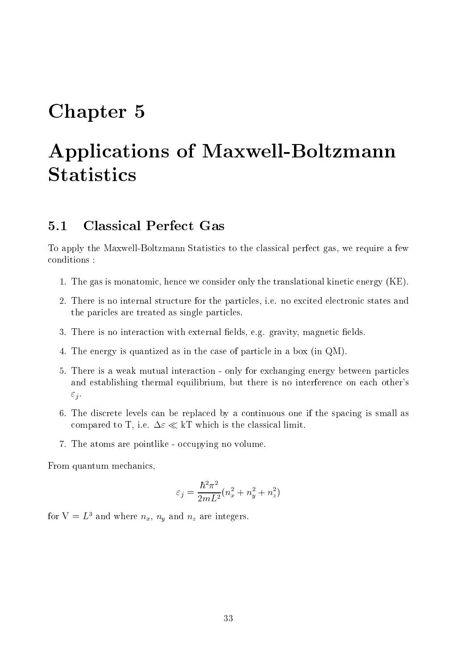## Chapter 5

# Applications of Maxwell-Boltzmann **Statistics**

### 5.1 Classical Perfect Gas

To apply the Maxwell-Boltzmann Statistics to the classical perfect gas, we require a few conditions :

- 1. The gas is monatomic, hence we consider only the translational kinetic energy (KE).
- 2. There is no internal structure for the particles, i.e. no excited electronic states and the paricles are treated as single particles.
- 3. There is no interaction with external fields, e.g. gravity, magnetic fields.
- 4. The energy is quantized as in the case of particle in a box (in QM).
- 5. There is a weak mutual interaction only for exchanging energy between particles and establishing thermal equilibrium, but there is no interference on each other's  $\varepsilon_j$ .
- 6. The discrete levels can be replaced by a continuous one if the spacing is small as compared to T, i.e.  $\Delta \varepsilon \ll kT$  which is the classical limit.
- 7. The atoms are pointlike occupying no volume.

From quantum mechanics,

$$
\varepsilon_j=\frac{\hbar^2\pi^2}{2mL^2}(n_x^2+n_y^2+n_z^2)
$$

for  $V = L^3$  and where  $n_x$ ,  $n_y$  and  $n_z$  are integers.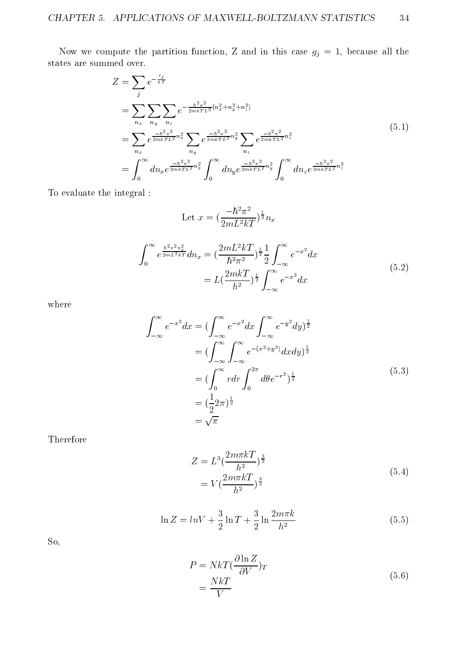Now we compute the partition function, Z and in this case  $g_j = 1$ , because all the states are summed over.

$$
Z = \sum_{j} e^{-\frac{\varepsilon_{j}}{kT}}
$$
  
\n
$$
= \sum_{n_{x}} \sum_{n_{y}} \sum_{n_{z}} e^{-\frac{\hbar^{2}\pi^{2}}{2mkTL^{2}}(n_{x}^{2} + n_{y}^{2} + n_{z}^{2})}
$$
  
\n
$$
= \sum_{n_{x}} e^{\frac{-\hbar^{2}\pi^{2}}{2mkTL^{2}}n_{x}^{2}} \sum_{n_{y}} e^{\frac{-\hbar^{2}\pi^{2}}{2mkTL^{2}}n_{y}^{2}} \sum_{n_{z}} e^{\frac{-\hbar^{2}\pi^{2}}{2mkTL^{2}}n_{z}^{2}}
$$
  
\n
$$
= \int_{0}^{\infty} dn_{x} e^{\frac{-\hbar^{2}\pi^{2}}{2mkTL^{2}}n_{x}^{2}} \int_{0}^{\infty} dn_{y} e^{\frac{-\hbar^{2}\pi^{2}}{2mkTL^{2}}n_{y}^{2}} \int_{0}^{\infty} dn_{z} e^{\frac{-\hbar^{2}\pi^{2}}{2mkTL^{2}}n_{z}^{2}}
$$
  
\n(5.1)

To evaluate the integral :

Let 
$$
x = \left(\frac{-\hbar^2 \pi^2}{2mL^2 kT}\right)^{\frac{1}{2}} n_x
$$
  
\n
$$
\int_0^\infty e^{\frac{\hbar^2 \pi^2 n_x^2}{2mL^2 kT}} dn_x = \left(\frac{2mL^2 kT}{\hbar^2 \pi^2}\right)^{\frac{1}{2}} \frac{1}{2} \int_{-\infty}^\infty e^{-x^2} dx
$$
\n
$$
= L\left(\frac{2m kT}{h^2}\right)^{\frac{1}{2}} \int_{-\infty}^\infty e^{-x^2} dx
$$
\n(5.2)

where

$$
\int_{-\infty}^{\infty} e^{-x^2} dx = \left(\int_{-\infty}^{\infty} e^{-x^2} dx \int_{-\infty}^{\infty} e^{-y^2} dy\right)^{\frac{1}{2}}
$$
  
\n
$$
= \left(\int_{-\infty}^{\infty} \int_{-\infty}^{\infty} e^{-(x^2+y^2)} dx dy\right)^{\frac{1}{2}}
$$
  
\n
$$
= \left(\int_{0}^{\infty} r dr \int_{0}^{2\pi} d\theta e^{-r^2} \right)^{\frac{1}{2}}
$$
  
\n
$$
= \left(\frac{1}{2}2\pi\right)^{\frac{1}{2}}
$$
  
\n
$$
= \sqrt{\pi}
$$
  
\n(5.3)

Therefore

$$
Z = L^3 \left(\frac{2m\pi kT}{h^2}\right)^{\frac{3}{2}}
$$
  
=  $V\left(\frac{2m\pi kT}{h^2}\right)^{\frac{3}{2}}$  (5.4)

$$
\ln Z = \ln V + \frac{3}{2} \ln T + \frac{3}{2} \ln \frac{2m\pi k}{h^2}
$$
 (5.5)

So,

$$
P = NkT(\frac{\partial \ln Z}{\partial V})_T
$$
  
= 
$$
\frac{NkT}{V}
$$
 (5.6)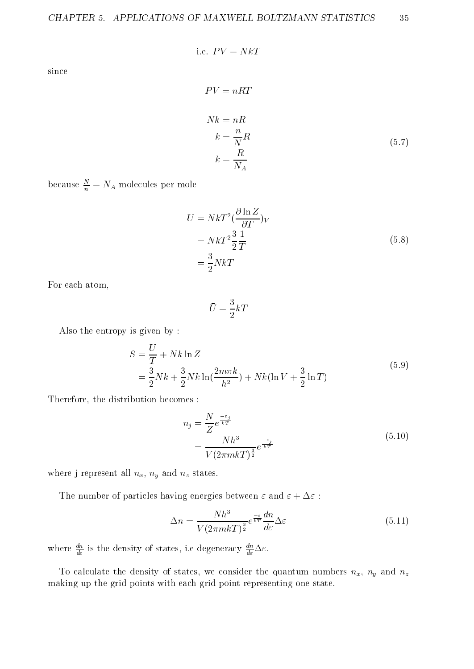$$
35\,
$$

i.e. 
$$
PV = NkT
$$
  
\n
$$
PV = nRT
$$
\n
$$
Nk = nR
$$
\n
$$
k = \frac{n}{N}R
$$
\n
$$
k = \frac{R}{N}
$$
\n(5.7)

NAME OF STREET

because  $\frac{1}{n} = N_A$  molecules per mole

$$
U = NkT^{2} \left(\frac{\partial \ln Z}{\partial T}\right)_{V}
$$
  
=  $NkT^{2} \frac{3}{2} \frac{1}{T}$  (5.8)  
=  $\frac{3}{2} NkT$ 

For each atom,

since

$$
\bar{U}=\frac{3}{2}kT
$$

Also the entropy is given by :

$$
S = \frac{U}{T} + Nk \ln Z
$$
  
=  $\frac{3}{2} Nk + \frac{3}{2} Nk \ln(\frac{2m\pi k}{h^2}) + Nk(\ln V + \frac{3}{2} \ln T)$  (5.9)

Therefore, the distribution becomes :

$$
n_j = \frac{N}{Z} e^{\frac{-\varepsilon_j}{kT}}
$$
  
= 
$$
\frac{Nh^3}{V(2\pi mkT)^{\frac{3}{2}}} e^{\frac{-\varepsilon_j}{kT}}
$$
 (5.10)

where j represent all  $n_x$ ,  $n_y$  and  $n_z$  states.

The number of particles having energies between  $\varepsilon$  and  $\varepsilon + \Delta \varepsilon$ :

$$
\Delta n = \frac{Nh^3}{V(2\pi mkT)^{\frac{3}{2}}}e^{\frac{-\varepsilon}{kT}}\frac{dn}{d\varepsilon}\Delta\varepsilon\tag{5.11}
$$

where  $\frac{dE}{d\varepsilon}$  is the density of states, i.e degeneracy  $\frac{dE}{d\varepsilon}\Delta\varepsilon$ .

To calculate the density of states, we consider the quantum numbers  $n_x$ ,  $n_y$  and  $n_z$ making up the grid points with each grid point representing one state.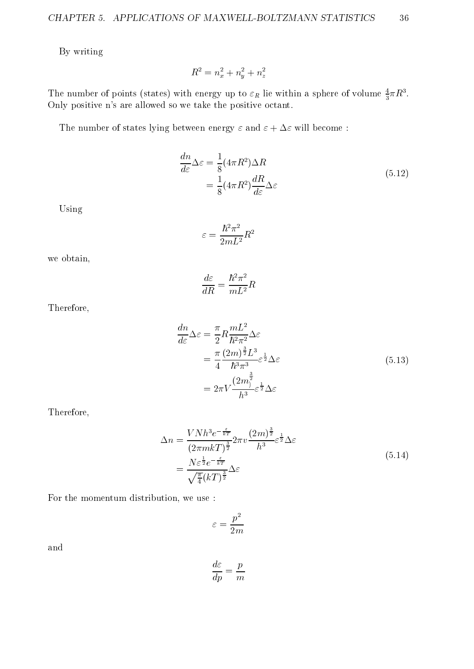By writing

$$
R^2 = n_x^2 + n_y^2 + n_z^2
$$

The number of points (states) with energy up to  $\varepsilon_R$  he within a sphere of volume  $\frac{1}{3}\pi R^2$ . Only positive n's are allowed so we take the positive octant.

The number of states lying between energy  $\varepsilon$  and  $\varepsilon + \Delta \varepsilon$  will become:

$$
\frac{dn}{d\varepsilon}\Delta\varepsilon = \frac{1}{8}(4\pi R^2)\Delta R
$$
  
=  $\frac{1}{8}(4\pi R^2)\frac{dR}{d\varepsilon}\Delta\varepsilon$  (5.12)

Using

" =  $\frac{n^2\pi^2}{2mL^2}R^2$ 

we obtain,

$$
\frac{d\varepsilon}{dR}=\frac{\hbar^2\pi^2}{mL^2}R
$$

Therefore,

$$
\frac{dn}{d\varepsilon}\Delta\varepsilon = \frac{\pi}{2}R\frac{mL^2}{\hbar^2\pi^2}\Delta\varepsilon
$$
\n
$$
= \frac{\pi}{4}\frac{(2m)^{\frac{3}{2}}L^3}{\hbar^3\pi^3}\varepsilon^{\frac{1}{2}}\Delta\varepsilon
$$
\n
$$
= 2\pi V\frac{(2m)^{\frac{3}{2}}}{h^3}\varepsilon^{\frac{1}{2}}\Delta\varepsilon
$$
\n(5.13)

Therefore,

$$
\Delta n = \frac{V N h^3 e^{-\frac{\varepsilon}{kT}}}{(2\pi mkT)^{\frac{3}{2}}} 2\pi v \frac{(2m)^{\frac{3}{2}}}{h^3} \varepsilon^{\frac{1}{2}} \Delta \varepsilon
$$
\n
$$
= \frac{N \varepsilon^{\frac{1}{2}} e^{-\frac{\varepsilon}{kT}}}{\sqrt{\frac{\pi}{4}} (kT)^{\frac{3}{2}}} \Delta \varepsilon
$$
\n(5.14)

For the momentum distribution, we use :

$$
\varepsilon=\frac{p^2}{2m}
$$

and

$$
\frac{d\varepsilon}{dp} = \frac{p}{m}
$$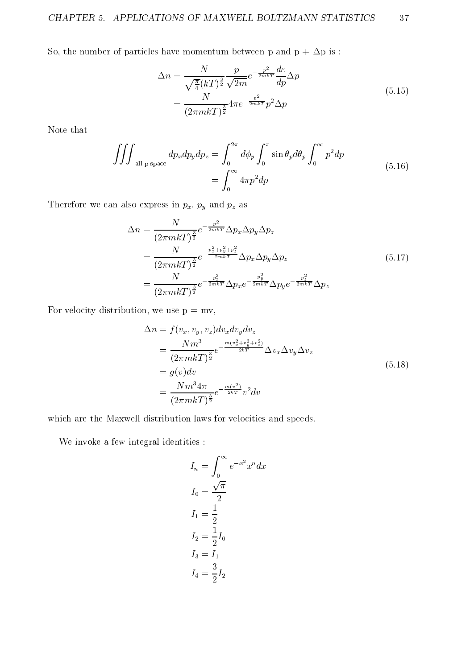So, the number of particles have momentum between p and p +  $\Delta \mathbf{p}$  is :

$$
\Delta n = \frac{N}{\sqrt{\frac{\pi}{4}} (kT)^{\frac{3}{2}}} \frac{p}{\sqrt{2m}} e^{-\frac{p^2}{2mkT}} \frac{d\varepsilon}{dp} \Delta p
$$
  
= 
$$
\frac{N}{(2\pi mkT)^{\frac{3}{2}}} 4\pi e^{-\frac{p^2}{2mkT}} p^2 \Delta p
$$
(5.15)

Note that

$$
\iiint_{\text{all p space}} dp_x dp_y dp_z = \int_0^{2\pi} d\phi_p \int_0^{\pi} \sin \theta_p d\theta_p \int_0^{\infty} p^2 dp
$$
  
= 
$$
\int_0^{\infty} 4\pi p^2 dp
$$
 (5.16)

Therefore we can also express in  $p_x$ ,  $p_y$  and  $p_z$  as

$$
\Delta n = \frac{N}{(2\pi mkT)^{\frac{3}{2}}} e^{-\frac{p^2}{2mkT}} \Delta p_x \Delta p_y \Delta p_z
$$
  
= 
$$
\frac{N}{(2\pi mkT)^{\frac{3}{2}}} e^{-\frac{p_x^2 + p_y^2 + p_z^2}{2mkT}} \Delta p_x \Delta p_y \Delta p_z
$$
  
= 
$$
\frac{N}{(2\pi mkT)^{\frac{3}{2}}} e^{-\frac{p_x^2}{2mkT}} \Delta p_x e^{-\frac{p_y^2}{2mkT}} \Delta p_y e^{-\frac{p_z^2}{2mkT}} \Delta p_z
$$
(5.17)

For velocity distribution, we use  $p = mv$ ,

$$
\Delta n = f(v_x, v_y, v_z) dv_x dv_y dv_z \n= \frac{N m^3}{(2\pi m k T)^{\frac{3}{2}}} e^{-\frac{m(v_x^2 + v_y^2 + v_z^2)}{2kT}} \Delta v_x \Delta v_y \Delta v_z \n= g(v) dv \n= \frac{N m^3 4\pi}{(2\pi m k T)^{\frac{3}{2}}} e^{-\frac{m(v^2)}{2kT}} v^2 dv
$$
\n(5.18)

which are the Maxwell distribution laws for velocities and speeds.

We invoke a few integral identities :

$$
I_n = \int_0^\infty e^{-x^2} x^n dx
$$
  
\n
$$
I_0 = \frac{\sqrt{\pi}}{2}
$$
  
\n
$$
I_1 = \frac{1}{2}
$$
  
\n
$$
I_2 = \frac{1}{2} I_0
$$
  
\n
$$
I_3 = I_1
$$
  
\n
$$
I_4 = \frac{3}{2} I_2
$$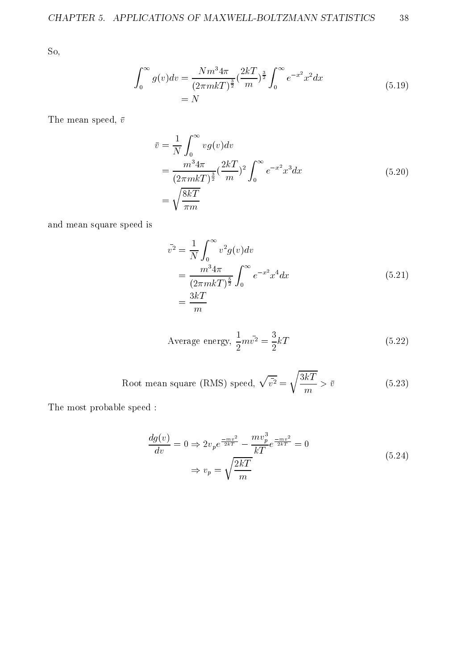So,

$$
\int_0^\infty g(v)dv = \frac{Nm^3 4\pi}{(2\pi mkT)^{\frac{3}{2}}} \left(\frac{2kT}{m}\right)^{\frac{3}{2}} \int_0^\infty e^{-x^2} x^2 dx
$$
\n
$$
= N \tag{5.19}
$$

The mean speed,  $\bar{v}$ 

$$
\bar{v} = \frac{1}{N} \int_0^{\infty} v g(v) dv
$$
  
= 
$$
\frac{m^3 4\pi}{(2\pi mkT)^{\frac{3}{2}}} \left(\frac{2kT}{m}\right)^2 \int_0^{\infty} e^{-x^2} x^3 dx
$$
  
= 
$$
\sqrt{\frac{8kT}{\pi m}}
$$
 (5.20)

and mean square speed is

$$
\bar{v}^2 = \frac{1}{N} \int_0^\infty v^2 g(v) dv
$$
  
= 
$$
\frac{m^3 4\pi}{(2\pi m kT)^{\frac{5}{2}}} \int_0^\infty e^{-x^2} x^4 dx
$$
 (5.21)  
= 
$$
\frac{3kT}{m}
$$

Average energy, 
$$
\frac{1}{2}m\bar{v^2} = \frac{3}{2}kT
$$
 (5.22)

Root mean square (RMS) speed, 
$$
\sqrt{\bar{v}^2} = \sqrt{\frac{3kT}{m}} > \bar{v}
$$
 (5.23)

The most probable speed :

$$
\frac{dg(v)}{dv} = 0 \Rightarrow 2v_p e^{\frac{-mv^2}{2kT}} - \frac{mv_p^3}{kT} e^{\frac{-mv^2}{2kT}} = 0
$$
\n
$$
\Rightarrow v_p = \sqrt{\frac{2kT}{m}}
$$
\n(5.24)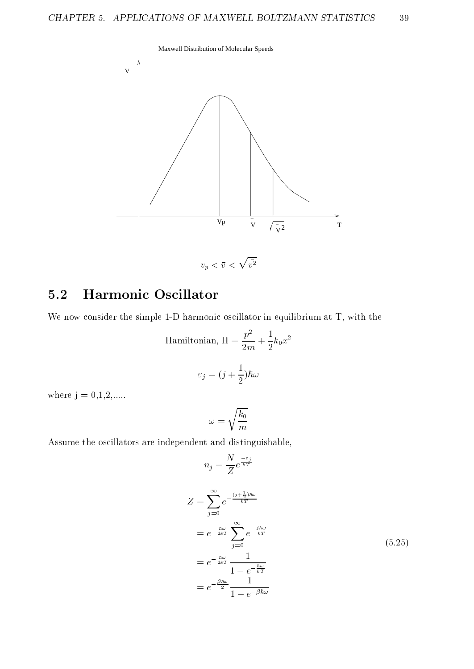



### 5.2 Harmonic Oscillator

We now consider the simple 1-D harmonic oscillator in equilibrium at T, with the

Hamiltonian, 
$$
H = \frac{p^2}{2m} + \frac{1}{2}k_0x^2
$$
  

$$
\varepsilon_j = (j + \frac{1}{2})\hbar\omega
$$

where  $j = 0, 1, 2, ...$ 

$$
\omega=\sqrt{\frac{k_0}{m}}
$$

Assume the oscillators are independent and distinguishable,

$$
n_{j} = \frac{N}{Z} e^{-\frac{\epsilon_{j}}{kT}}
$$
  
\n
$$
Z = \sum_{j=0}^{\infty} e^{-\frac{(j + \frac{1}{2})\hbar\omega}{kT}}
$$
  
\n
$$
= e^{-\frac{\hbar\omega}{2kT}} \sum_{j=0}^{\infty} e^{-\frac{i\hbar\omega}{kT}}
$$
  
\n
$$
= e^{-\frac{\hbar\omega}{2kT}} \frac{1}{1 - e^{-\frac{\hbar\omega}{kT}}}
$$
  
\n
$$
= e^{-\frac{\beta\hbar\omega}{2}} \frac{1}{1 - e^{-\beta\hbar\omega}}
$$
  
\n(5.25)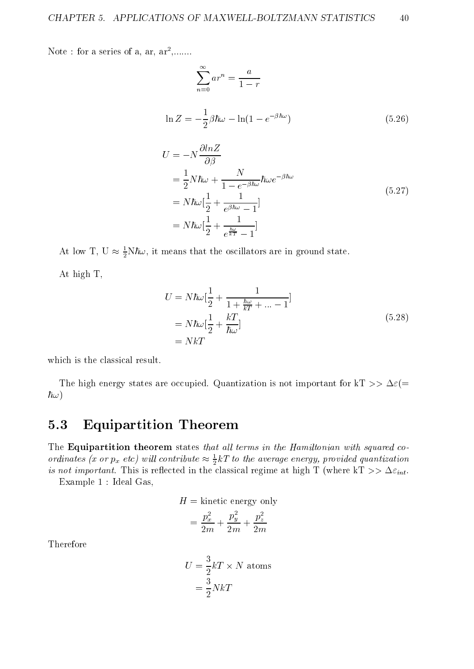Note : for a series of a, ar, ar2 ,.......

$$
\sum_{n=0}^{\infty} ar^n = \frac{a}{1-r}
$$
  
\n
$$
\ln Z = -\frac{1}{2}\beta \hbar \omega - \ln(1 - e^{-\beta \hbar \omega})
$$
\n(5.26)

$$
U = -N \frac{\omega n \omega}{\partial \beta}
$$
  
=  $\frac{1}{2} N \hbar \omega + \frac{N}{1 - e^{-\beta \hbar \omega}} \hbar \omega e^{-\beta \hbar \omega}$   
=  $N \hbar \omega [\frac{1}{2} + \frac{1}{e^{\beta \hbar \omega} - 1}]$   
=  $N \hbar \omega [\frac{1}{2} + \frac{1}{e^{\frac{\hbar \omega}{kT}} - 1}]$  (5.27)

At low 1, U  $\approx \frac{1}{2}$ N $\pi \omega$ , it means that the oscillators are in ground state.

At high T,

$$
U = N\hbar\omega\left[\frac{1}{2} + \frac{1}{1 + \frac{\hbar\omega}{kT} + \dots - 1}\right]
$$
  
=  $N\hbar\omega\left[\frac{1}{2} + \frac{kT}{\hbar\omega}\right]$  (5.28)  
=  $NkT$ 

which is the classical result.

The high energy states are occupied. Quantization is not important for kT  $>> \Delta \varepsilon (=$  $\hbar\omega)$ 

#### 5.3 Equipartition Theorem

The Equipartition theorem states that all terms in the Hamiltonian with squared coordinates (x or  $p_x$  etc) will contribute  $\approx \frac{1}{2} \kappa T$  to the average energy, provided quantization is not important. This is reflected in the classical regime at  $\max$   $\mathbf{r}$  (where  $\mathbf{r}$   $\mathbf{r}$   $\mathbf{r}$ Example 1 : Ideal Gas,

 $H =$  kinetic energy only

$$
= \frac{p_x^2}{2m} + \frac{p_y^2}{2m} + \frac{p_z^2}{2m}
$$

Therefore

$$
U = \frac{3}{2}kT \times N \text{ atoms}
$$

$$
= \frac{3}{2}NkT
$$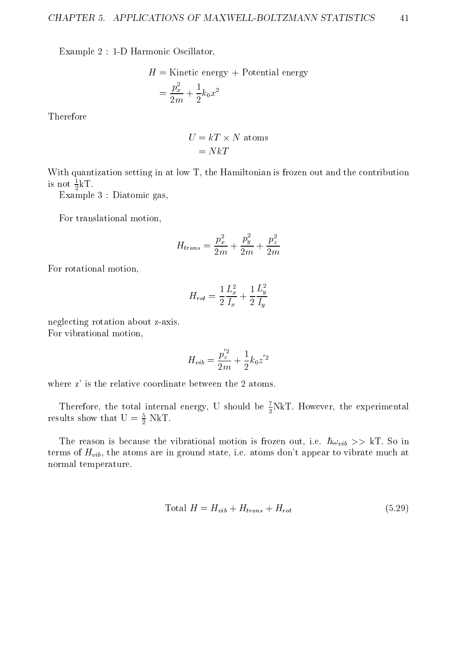Example 2 : 1-D Harmonic Oscillator,

$$
H = \text{Kinetic energy} + \text{Potential energy}
$$

$$
= \frac{p_x^2}{2m} + \frac{1}{2}k_0x^2
$$

Therefore

$$
U = kT \times N \text{ atoms}
$$

$$
= NkT
$$

With quantization setting in at low T, the Hamiltonian is frozen out and the contribution is not  $\frac{1}{2}$ **k i**.

Example 3 : Diatomic gas,

For translational motion,

$$
H_{trans}=\frac{p_x^2}{2m}+\frac{p_y^2}{2m}+\frac{p_z^2}{2m}
$$

For rotational motion,

$$
H_{rot}=\frac{1}{2}\frac{L_x^2}{I_x}+\frac{1}{2}\frac{L_y^2}{I_y}
$$

neglecting rotation about z-axis. For vibrational motion,

$$
H_{vib}=\frac{p_z^{'2}}{2m}+\frac{1}{2}k_0z^{'2}
$$

where z' is the relative coordinate between the 2 atoms.

Therefore, the total internal energy, U should be  $\frac{1}{2}NKL$ . However, the experimental results show that  $U = \frac{1}{2} N K I$ .

The reason is because the vibrational motion is frozen out, i.e.  $\hbar\omega_{vib} >> kT$ . So in terms of  $H_{vib}$ , the atoms are in ground state, i.e. atoms don't appear to vibrate much at normal temperature.

$$
Total H = H_{vib} + H_{trans} + H_{rot}
$$
\n
$$
(5.29)
$$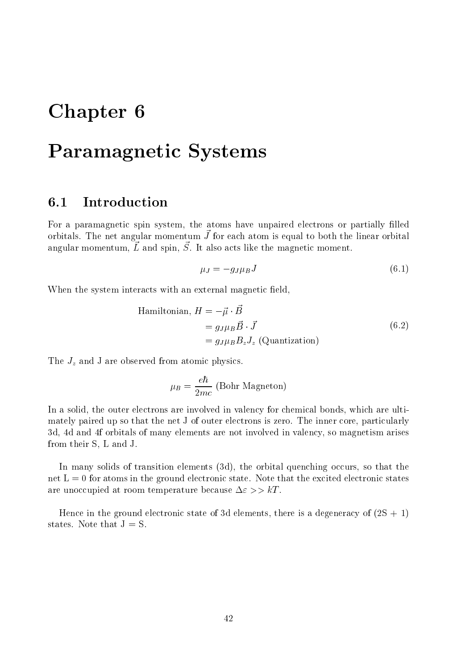# Chapter 6

# Paramagnetic Systems

#### $6.1$

For a paramagnetic spin system, the atoms have unpaired electrons or partially filled orbitals. The net angular momentum J~ for each atom is equal to both the linear orbital angular momentum,  $L^2$  and spin,  $D^2$ , it also acts like the magnetic moment.

$$
\mu_J = -g_J \mu_B J \tag{6.1}
$$

When the system interacts with an external magnetic field,

Hamiltonian, 
$$
H = -\vec{\mu} \cdot \vec{B}
$$
  
=  $g_J \mu_B \vec{B} \cdot \vec{J}$   
=  $g_J \mu_B B_z J_z$  (Quantization) (6.2)

The  $J_z$  and J are observed from atomic physics.

$$
\mu_B = \frac{e\hbar}{2mc}
$$
 (Bohr Magneton)

In a solid, the outer electrons are involved in valency for chemical bonds, which are ultimately paired up so that the net J of outer electrons is zero. The inner core, particularly 3d, 4d and 4f orbitals of many elements are not involved in valency, so magnetism arises from their S, L and J.

In many solids of transition elements (3d), the orbital quenching occurs, so that the net  $L = 0$  for atoms in the ground electronic state. Note that the excited electronic states are unoccupied at room temperature because  $\Delta \varepsilon >> kT$ .

Hence in the ground electronic state of 3d elements, there is a degeneracy of  $(2S + 1)$ states. Note that  $J = S$ .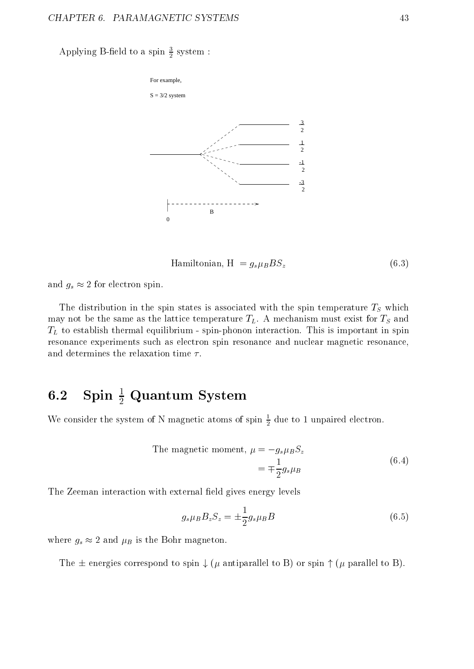Applying B-neid to a spin  $\frac{1}{2}$  system :



$$
Hamiltonian, H = g_s \mu_B B S_z \tag{6.3}
$$

and  $g_s \approx 2$  for electron spin.

The distribution in the spin states is associated with the spin temperature  $T<sub>S</sub>$  which may not be the same as the lattice temperature  $T_L$ . A mechanism must exist for  $T_S$  and  $T<sub>L</sub>$  to establish thermal equilibrium - spin-phonon interaction. This is important in spin resonance experiments such as electron spin resonance and nuclear magnetic resonance, and determines the relaxation time  $\tau$ .

### $\mathbf{0.2}$  spin  $\frac{1}{2}$  Quantum system

we consider the system of N magnetic atoms of spin  $\frac{1}{2}$  due to 1 unpaired electron.

The magnetic moment, 
$$
\mu = -g_s \mu_B S_z
$$
  
=  $\mp \frac{1}{2} g_s \mu_B$  (6.4)

The Zeeman interaction with external field gives energy levels

$$
g_s \mu_B B_z S_z = \pm \frac{1}{2} g_s \mu_B B \tag{6.5}
$$

where  $g_s \approx 2$  and  $\mu_B$  is the Bohr magneton.

The  $\pm$  energies correspond to spin  $\downarrow$  ( $\mu$  antiparallel to B) or spin  $\uparrow$  ( $\mu$  parallel to B).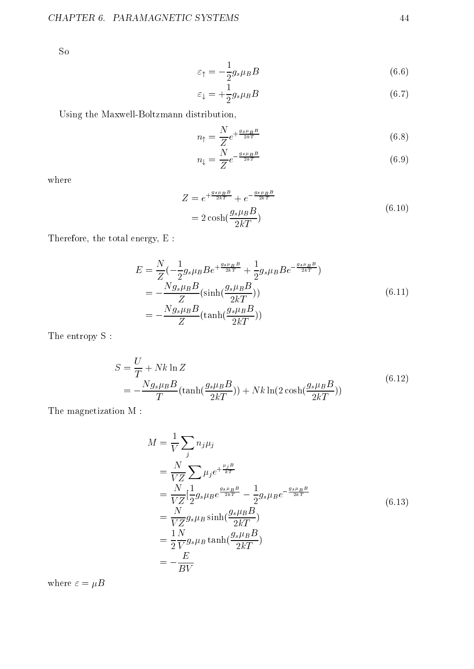So

$$
\varepsilon_{\uparrow} = -\frac{1}{2} g_s \mu_B B \tag{6.6}
$$

$$
\varepsilon_{\downarrow} = +\frac{1}{2}g_s \mu_B B \tag{6.7}
$$

Using the Maxwell-Boltzmann distribution,

$$
n_{\uparrow} = \frac{N}{Z} e^{+\frac{g_s \mu_B B}{2kT}} \tag{6.8}
$$

$$
n_{\downarrow} = \frac{N}{Z} e^{-\frac{g_s \mu_B B}{2kT}} \tag{6.9}
$$

where

$$
Z = e^{+\frac{g_s \mu_B B}{2kT}} + e^{-\frac{g_s \mu_B B}{2kT}}
$$
  
=  $2 \cosh(\frac{g_s \mu_B B}{2kT})$  (6.10)

Therefore, the total energy, E :

$$
E = \frac{N}{Z} \left( -\frac{1}{2} g_s \mu_B B e^{+\frac{g_s \mu_B B}{2kT}} + \frac{1}{2} g_s \mu_B B e^{-\frac{g_s \mu_B B}{2kT}} \right)
$$
  
= 
$$
-\frac{N g_s \mu_B B}{Z} (\sinh(\frac{g_s \mu_B B}{2kT}))
$$
  
= 
$$
-\frac{N g_s \mu_B B}{Z} (\tanh(\frac{g_s \mu_B B}{2kT}))
$$
 (6.11)

The entropy S :

$$
S = \frac{U}{T} + Nk \ln Z
$$
  
= 
$$
-\frac{Ng_{s\mu B}B}{T}(\tanh(\frac{g_{s\mu B}B}{2kT})) + Nk \ln(2 \cosh(\frac{g_{s\mu B}B}{2kT}))
$$
(6.12)

The magnetization M :

$$
M = \frac{1}{V} \sum_{j} n_{j} \mu_{j}
$$
  
=  $\frac{N}{VZ} \sum_{j} \mu_{j} e^{+\frac{\mu_{j}B}{kT}}$   
=  $\frac{N}{VZ} [\frac{1}{2} g_{s} \mu_{B} e^{\frac{g_{s} \mu_{B} B}{2kT}} - \frac{1}{2} g_{s} \mu_{B} e^{-\frac{g_{s} \mu_{B} B}{2kT}}$   
=  $\frac{N}{VZ} g_{s} \mu_{B} \sinh(\frac{g_{s} \mu_{B} B}{2kT})$   
=  $\frac{1}{2} \frac{N}{V} g_{s} \mu_{B} \tanh(\frac{g_{s} \mu_{B} B}{2kT})$   
=  $-\frac{E}{BV}$  (6.13)

where  $\varepsilon = \mu B$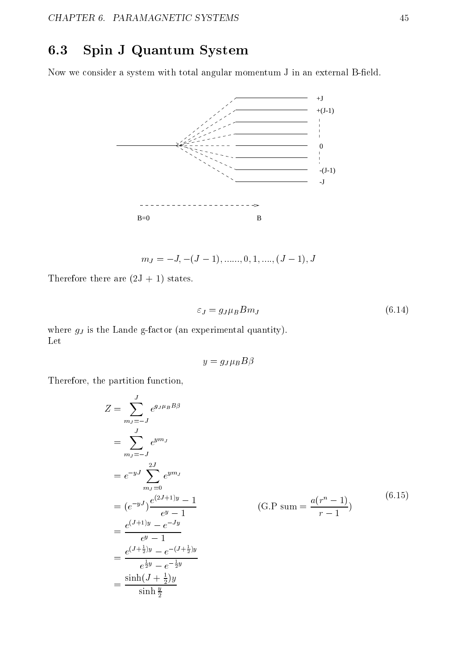### 6.3 Spin J Quantum System

Now we consider a system with total angular momentum J in an external B-field.



 $m_J = -J, -(J - 1), \dots, 0, 1, \dots, (J - 1), J$ 

Therefore there are  $(2J + 1)$  states.

$$
\varepsilon_J = g_J \mu_B B m_J \tag{6.14}
$$

where  $g_J$  is the Lande g-factor (an experimental quantity). Let

$$
y = g_J \mu_B B \beta
$$

Therefore, the partition function,

$$
Z = \sum_{m_j=-J}^{J} e^{g_j \mu_B B \beta}
$$
  
=  $\sum_{m_j=-J}^{J} e^{ym_j}$   
=  $e^{-yJ} \sum_{m_j=0}^{2J} e^{ym_j}$   
=  $(e^{-yJ}) \frac{e^{(2J+1)y} - 1}{e^y - 1}$  (G.P sum =  $\frac{a(r^n - 1)}{r - 1}$ ) (6.15)  
=  $\frac{e^{(J+1)y} - e^{-Jy}}{e^y - 1}$   
=  $\frac{e^{(J+\frac{1}{2})y} - e^{-(J+\frac{1}{2})y}}{e^{\frac{1}{2}y} - e^{-\frac{1}{2}y}}$   
=  $\frac{\sinh(J+\frac{1}{2})y}{\sinh\frac{y}{2}}$  (6.15)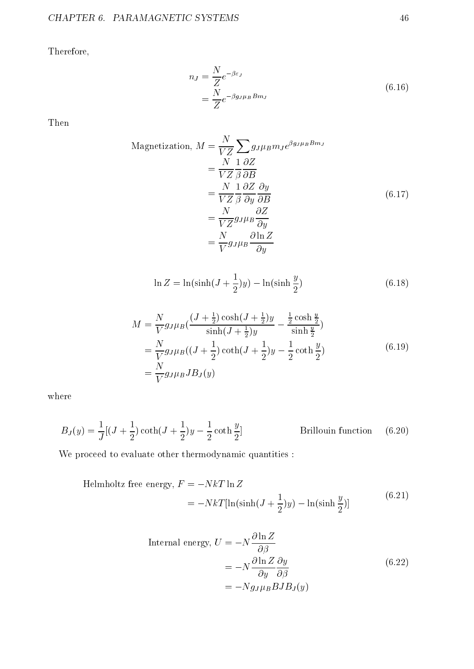Therefore,

$$
n_J = \frac{N}{Z} e^{-\beta \varepsilon_J}
$$
  
= 
$$
\frac{N}{Z} e^{-\beta g_J \mu_B B m_J}
$$
 (6.16)

Then

Magnetization, 
$$
M = \frac{N}{VZ} \sum g_{J} \mu_B m_J e^{\beta g_J \mu_B B m_J}
$$
  
\n
$$
= \frac{N}{VZ} \frac{1}{\beta} \frac{\partial Z}{\partial B}
$$
\n
$$
= \frac{N}{VZ} \frac{1}{\beta} \frac{\partial Z}{\partial y} \frac{\partial y}{\partial B}
$$
\n
$$
= \frac{N}{VZ} g_J \mu_B \frac{\partial Z}{\partial y}
$$
\n
$$
= \frac{N}{V} g_J \mu_B \frac{\partial \ln Z}{\partial y}
$$
\n(6.17)

$$
\ln Z = \ln(\sinh(J + \frac{1}{2})y) - \ln(\sinh\frac{y}{2})\tag{6.18}
$$

$$
M = \frac{N}{V} g_J \mu_B \left( \frac{(J + \frac{1}{2}) \cosh(J + \frac{1}{2})y}{\sinh(J + \frac{1}{2})y} - \frac{\frac{1}{2} \cosh \frac{y}{2}}{\sinh \frac{y}{2}} \right)
$$
  
=  $\frac{N}{V} g_J \mu_B \left( (J + \frac{1}{2}) \coth(J + \frac{1}{2})y - \frac{1}{2} \coth \frac{y}{2} \right)$   
=  $\frac{N}{V} g_J \mu_B J B_J(y)$  (6.19)

where

$$
B_J(y) = \frac{1}{J} \left[ (J + \frac{1}{2}) \coth(J + \frac{1}{2})y - \frac{1}{2} \coth \frac{y}{2} \right]
$$
 Brillouin function (6.20)

We proceed to evaluate other thermodynamic quantities :

Helmholtz free energy, 
$$
F = -NkT \ln Z
$$
  
=  $-NkT[\ln(\sinh(J + \frac{1}{2})y) - \ln(\sinh\frac{y}{2})]$  (6.21)

Internal energy, 
$$
U = -N \frac{\partial \ln Z}{\partial \beta}
$$
  
=  $-N \frac{\partial \ln Z}{\partial y} \frac{\partial y}{\partial \beta}$   
=  $-Ng_J \mu_B BJB_J(y)$  (6.22)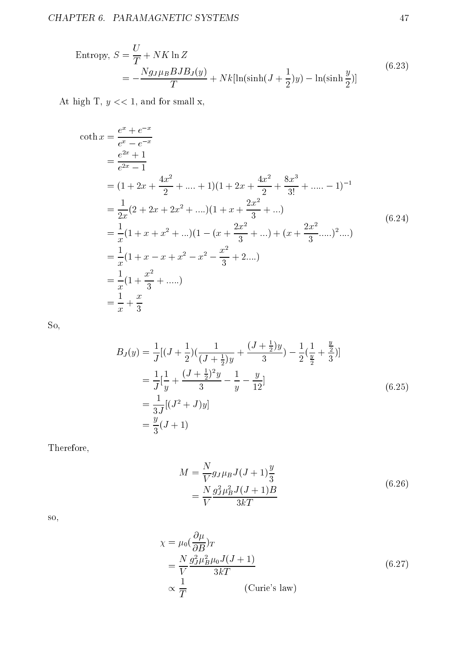Entropy, 
$$
S = \frac{U}{T} + NK \ln Z
$$

$$
= -\frac{Ng_{J} \mu_B B J B_J(y)}{T} + Nk[\ln(\sinh(J + \frac{1}{2})y) - \ln(\sinh\frac{y}{2})]
$$
(6.23)

At high T,  $y \ll 1$ , and for small x,

$$
\coth x = \frac{e^x + e^{-x}}{e^x - e^{-x}}
$$
  
\n
$$
= \frac{e^{2x} + 1}{e^{2x} - 1}
$$
  
\n
$$
= (1 + 2x + \frac{4x^2}{2} + \dots + 1)(1 + 2x + \frac{4x^2}{2} + \frac{8x^3}{3!} + \dots - 1)^{-1}
$$
  
\n
$$
= \frac{1}{2x}(2 + 2x + 2x^2 + \dots)(1 + x + \frac{2x^2}{3} + \dots)
$$
  
\n
$$
= \frac{1}{x}(1 + x + x^2 + \dots)(1 - (x + \frac{2x^2}{3} + \dots) + (x + \frac{2x^2}{3} + \dots)^2 \dots)
$$
  
\n
$$
= \frac{1}{x}(1 + x - x + x^2 - x^2 - \frac{x^2}{3} + 2 \dots)
$$
  
\n
$$
= \frac{1}{x}(1 + \frac{x^2}{3} + \dots)
$$
  
\n
$$
= \frac{1}{x} + \frac{x}{3}
$$
  
\n(6.24)

So,

$$
B_J(y) = \frac{1}{J}[(J + \frac{1}{2})(\frac{1}{(J + \frac{1}{2})y} + \frac{(J + \frac{1}{2})y}{3}) - \frac{1}{2}(\frac{1}{\frac{y}{2}} + \frac{\frac{y}{2}}{3})]
$$
  
\n
$$
= \frac{1}{J}[\frac{1}{y} + \frac{(J + \frac{1}{2})^2y}{3} - \frac{1}{y} - \frac{y}{12}]
$$
  
\n
$$
= \frac{1}{3J}[(J^2 + J)y]
$$
  
\n
$$
= \frac{y}{3}(J + 1)
$$
\n(6.25)

Therefore,

$$
M = \frac{N}{V} g_J \mu_B J (J+1) \frac{y}{3}
$$
  
= 
$$
\frac{N}{V} \frac{g_J^2 \mu_B^2 J (J+1) B}{3kT}
$$
 (6.26)

so,

$$
\chi = \mu_0 \left(\frac{\partial \mu}{\partial B}\right) T
$$
  
=  $\frac{N}{V} \frac{g_J^2 \mu_B^2 \mu_0 J(J+1)}{3kT}$   
 $\propto \frac{1}{T}$  (Curie's law) (6.27)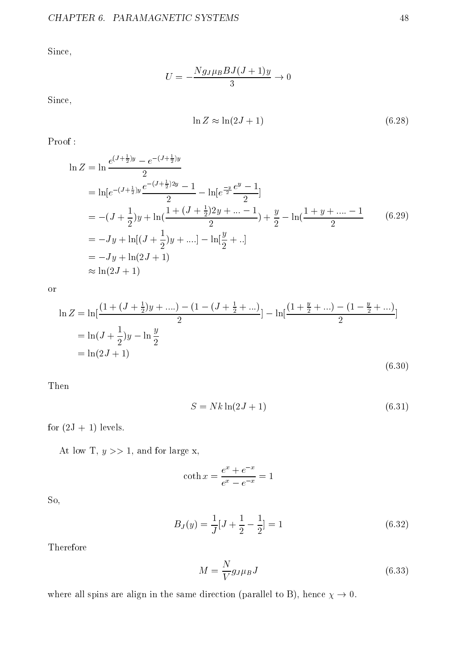Since,

$$
U = -\frac{Ng_J \mu_B B J (J+1) y}{3} \to 0
$$

Since,

$$
\ln Z \approx \ln(2J+1) \tag{6.28}
$$

Proof :

$$
\ln Z = \ln \frac{e^{(J + \frac{1}{2})y} - e^{-(J + \frac{1}{2})y}}{2}
$$
  
=  $\ln[e^{-(J + \frac{1}{2})y} \frac{e^{-(J + \frac{1}{2})2y} - 1}{2} - \ln[e^{\frac{-y}{2}} \frac{e^y - 1}{2}]$   
=  $-(J + \frac{1}{2})y + \ln(\frac{1 + (J + \frac{1}{2})2y + \dots - 1}{2}) + \frac{y}{2} - \ln(\frac{1 + y + \dots - 1}{2})$  (6.29)  
=  $-Jy + \ln[(J + \frac{1}{2})y + \dots] - \ln[\frac{y}{2} + ..]$   
=  $-Jy + \ln(2J + 1)$   
 $\approx \ln(2J + 1)$ 

or

$$
\ln Z = \ln\left[\frac{(1 + (J + \frac{1}{2})y + ....) - (1 - (J + \frac{1}{2} + ...)}{2}\right] - \ln\left[\frac{(1 + \frac{y}{2} + ...) - (1 - \frac{y}{2} + ...)}{2}\right]
$$
  
=  $\ln(J + \frac{1}{2})y - \ln\frac{y}{2}$   
=  $\ln(2J + 1)$  (6.30)

Then

$$
S = Nk \ln(2J+1) \tag{6.31}
$$

for  $(2J + 1)$  levels.

At low T,  $y \gg 1$ , and for large x,

$$
\coth x = \frac{e^x + e^{-x}}{e^x - e^{-x}} = 1
$$

So,

$$
B_J(y) = \frac{1}{J}[J + \frac{1}{2} - \frac{1}{2}] = 1
$$
\n(6.32)

Therefore

$$
M = \frac{N}{V} g_J \mu_B J \tag{6.33}
$$

where all spins are align in the same direction (parallel to B), hence  $\chi \to 0$ .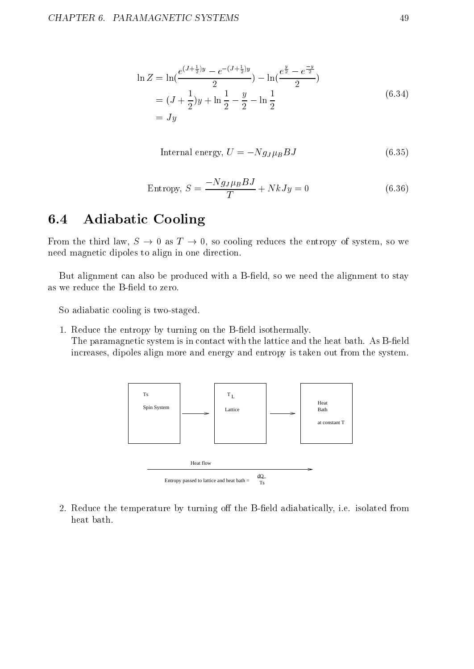$$
\ln Z = \ln\left(\frac{e^{(J + \frac{1}{2})y} - e^{-(J + \frac{1}{2})y}}{2}\right) - \ln\left(\frac{e^{\frac{y}{2}} - e^{-\frac{y}{2}}}{2}\right)
$$
  
=  $(J + \frac{1}{2})y + \ln\frac{1}{2} - \frac{y}{2} - \ln\frac{1}{2}$  (6.34)  
=  $Jy$ 

$$
Internal energy, U = -Ng_J \mu_B B J \tag{6.35}
$$

Entropy, 
$$
S = \frac{-Ng_J \mu_B B J}{T} + NkJy = 0
$$
 (6.36)

#### 6.4 Adiabatic Cooling

From the third law,  $S \to 0$  as  $T \to 0$ , so cooling reduces the entropy of system, so we need magnetic dipoles to align in one direction.

But alignment can also be produced with a B-field, so we need the alignment to stay as we reduce the B-field to zero.

So adiabatic cooling is two-staged.

1. Reduce the entropy by turning on the B-field isothermally. The paramagnetic system is in contact with the lattice and the heat bath. As B-field increases, dipoles align more and energy and entropy is taken out from the system.



2. Reduce the temperature by turning off the B-field adiabatically, i.e. isolated from heat bath.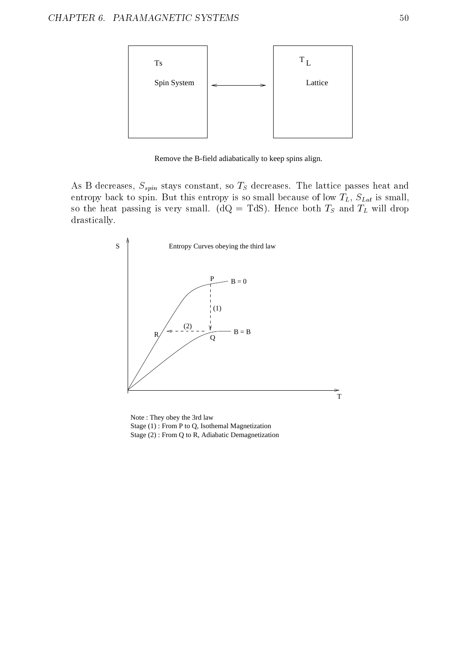

Remove the B-field adiabatically to keep spins align.

As B decreases,  $S_{spin}$  stays constant, so  $T_S$  decreases. The lattice passes heat and entropy back to spin. But this entropy is so small because of low  $T_L$ ,  $S_{Lat}$  is small, so the heat passing is very small. ( $dQ = TdS$ ). Hence both  $T_S$  and  $T_L$  will drop drastically.



Note : They obey the 3rd law Stage (1) : From P to Q, Isothemal Magnetization Stage (2) : From Q to R, Adiabatic Demagnetization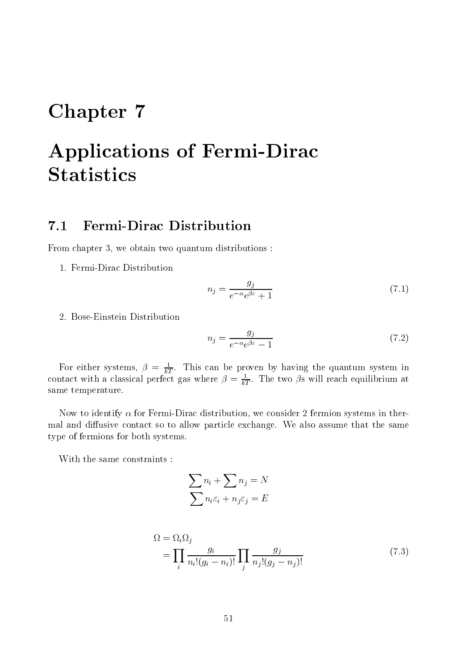# Chapter 7

# Applications of Fermi-Dirac **Statistics**

### 7.1 Fermi-Dirac Distribution

From chapter 3, we obtain two quantum distributions :

1. Fermi-Dirac Distribution

$$
n_j = \frac{g_j}{e^{-\alpha}e^{\beta \varepsilon} + 1} \tag{7.1}
$$

2. Bose-Einstein Distribution

$$
n_j = \frac{g_j}{e^{-\alpha}e^{\beta \varepsilon} - 1} \tag{7.2}
$$

For either systems,  $\rho = \frac{F}{kT}$ . This can be proven by having the quantum system in contact with a classical perfect gas where  $\rho = \frac{1}{kT}$ . The two  $\rho$ s will reach equilibrium at same temperature.

Now to identify  $\alpha$  for Fermi-Dirac distribution, we consider 2 fermion systems in thermal and diffusive contact so to allow particle exchange. We also assume that the same type of fermions for both systems.

With the same constraints :

$$
\sum n_i + \sum n_j = N
$$

$$
\sum n_i \varepsilon_i + n_j \varepsilon_j = E
$$

$$
\Omega = \Omega_i \Omega_j
$$
\n
$$
= \prod_i \frac{g_i}{n_i!(g_i - n_i)!} \prod_j \frac{g_j}{n_j!(g_j - n_j)!} \tag{7.3}
$$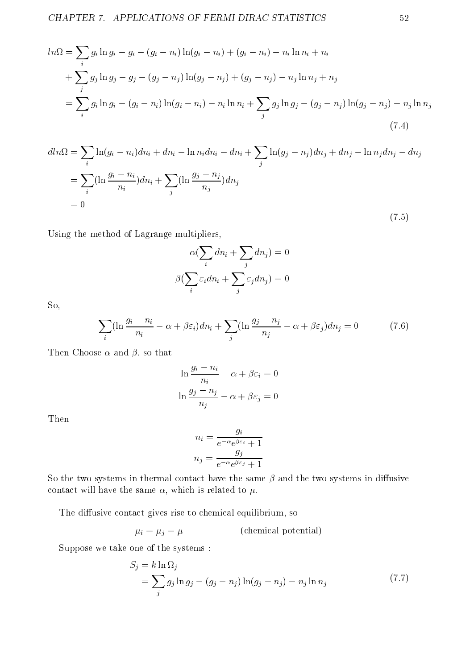$$
ln\Omega = \sum_{i} g_i \ln g_i - g_i - (g_i - n_i) \ln(g_i - n_i) + (g_i - n_i) - n_i \ln n_i + n_i
$$
  
+ 
$$
\sum_{j} g_j \ln g_j - g_j - (g_j - n_j) \ln(g_j - n_j) + (g_j - n_j) - n_j \ln n_j + n_j
$$
  
= 
$$
\sum_{i} g_i \ln g_i - (g_i - n_i) \ln(g_i - n_i) - n_i \ln n_i + \sum_{j} g_j \ln g_j - (g_j - n_j) \ln(g_j - n_j) - n_j \ln n_j
$$
(7.4)

$$
dln\Omega = \sum_{i} \ln(g_i - n_i)dn_i + dn_i - \ln n_i dn_i - dn_i + \sum_{j} \ln(g_j - n_j)dn_j + dn_j - \ln n_j dn_j - dn_j
$$
  
= 
$$
\sum_{i} (\ln \frac{g_i - n_i}{n_i})dn_i + \sum_{j} (\ln \frac{g_j - n_j}{n_j})dn_j
$$
  
= 0 (7.5)

Using the method of Lagrange multipliers,

$$
\alpha(\sum_{i} dn_i + \sum_{j} dn_j) = 0
$$

$$
-\beta(\sum_{i} \varepsilon_i dn_i + \sum_{j} \varepsilon_j dn_j) = 0
$$

So,

$$
\sum_{i} \left(\ln \frac{g_i - n_i}{n_i} - \alpha + \beta \varepsilon_i\right) dn_i + \sum_{j} \left(\ln \frac{g_j - n_j}{n_j} - \alpha + \beta \varepsilon_j\right) dn_j = 0 \tag{7.6}
$$

Then Choose  $\alpha$  and  $\beta$ , so that

$$
\ln \frac{g_i - n_i}{n_i} - \alpha + \beta \varepsilon_i = 0
$$

$$
\ln \frac{g_j - n_j}{n_j} - \alpha + \beta \varepsilon_j = 0
$$

Then

$$
n_i = \frac{g_i}{e^{-\alpha}e^{\beta \varepsilon_i} + 1}
$$

$$
n_j = \frac{g_j}{e^{-\alpha}e^{\beta \varepsilon_j} + 1}
$$

So the two systems in thermal contact have the same  $\beta$  and the two systems in diffusive contact will have the same  $\alpha$ , which is related to  $\mu$ .

The diffusive contact gives rise to chemical equilibrium, so

 $\mu_i = \mu_j = \mu$  (chemical potential)

Suppose we take one of the systems :

$$
S_j = k \ln \Omega_j
$$
  
= 
$$
\sum_j g_j \ln g_j - (g_j - n_j) \ln(g_j - n_j) - n_j \ln n_j
$$
 (7.7)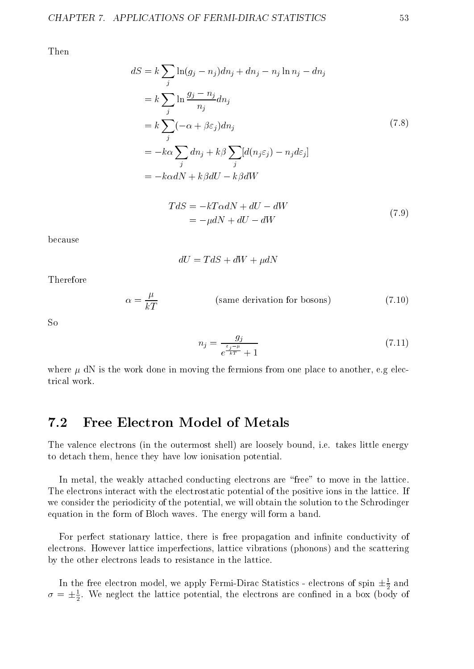Then

$$
dS = k \sum_{j} \ln(g_j - n_j)dn_j + dn_j - n_j \ln n_j - dn_j
$$
  
=  $k \sum_{j} \ln \frac{g_j - n_j}{n_j} dn_j$   
=  $k \sum_{j} (-\alpha + \beta \varepsilon_j)dn_j$   
=  $-k\alpha \sum_{j} dn_j + k\beta \sum_{j} [d(n_j \varepsilon_j) - n_j d\varepsilon_j]$   
=  $-k\alpha dN + k\beta dU - k\beta dW$  (7.8)

$$
TdS = -kT\alpha dN + dU - dW
$$
  
= 
$$
-\mu dN + dU - dW
$$
 (7.9)

because

$$
dU = TdS + dW + \mu dN
$$

Therefore

$$
\alpha = \frac{\mu}{kT}
$$
 (same derivation for bosons) \t(7.10)

 $S<sub>0</sub>$ 

$$
n_j = \frac{g_j}{e^{\frac{\varepsilon_j - \mu}{kT}} + 1} \tag{7.11}
$$

where  $\mu$  dN is the work done in moving the fermions from one place to another, e.g electrical work.

#### 7.2 Free Electron Model of Metals

The valence electrons (in the outermost shell) are loosely bound, i.e. takes little energy to detach them, hence they have low ionisation potential.

In metal, the weakly attached conducting electrons are "free" to move in the lattice. The electrons interact with the electrostatic potential of the positive ions in the lattice. If we consider the periodicity of the potential, we will obtain the solution to the Schrodinger equation in the form of Bloch waves. The energy will form a band.

For perfect stationary lattice, there is free propagation and infinite conductivity of electrons. However lattice imperfections, lattice vibrations (phonons) and the scattering by the other electrons leads to resistance in the lattice.

In the free electron model, we apply Fermi-Dirac Statistics - electrons of spin  $\pm \frac{1}{2}$  and  $\sigma = \pm \frac{1}{2}$ . We neglect the lattice potential, the electrons are confined in a box (body of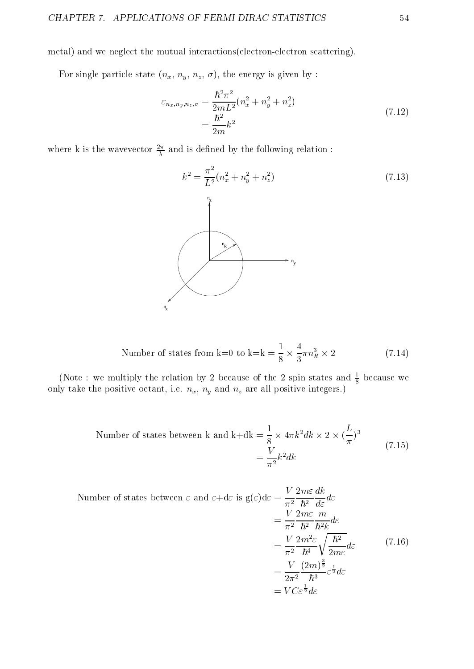metal) and we neglect the mutual interactions(electron-electron scattering).

For single particle state  $(n_x, n_y, n_z, \sigma)$ , the energy is given by :

$$
\varepsilon_{n_x, n_y, n_z, \sigma} = \frac{\hbar^2 \pi^2}{2mL^2} (n_x^2 + n_y^2 + n_z^2)
$$
\n
$$
= \frac{\hbar^2}{2m} k^2
$$
\n(7.12)

where k is the wavevector  $\frac{1}{\lambda}$  and is defined by the following relation :



Number of states from k=0 to k=k = 
$$
\frac{1}{8} \times \frac{4}{3} \pi n_R^3 \times 2
$$
 (7.14)

(Note : we multiply the relation by 2 because of the 2 spin states and  $\frac{1}{8}$  because we only take the positive octant, i.e.  $n_x$ ,  $n_y$  and  $n_z$  are all positive integers.)

Number of states between k and k+dk = 
$$
\frac{1}{8} \times 4\pi k^2 dk \times 2 \times (\frac{L}{\pi})^3
$$
  
=  $\frac{V}{\pi^2} k^2 dk$  (7.15)

Number of states between 
$$
\varepsilon
$$
 and  $\varepsilon + d\varepsilon$  is  $g(\varepsilon)d\varepsilon = \frac{V}{\pi^2} \frac{2m\varepsilon}{\hbar^2} \frac{dk}{d\varepsilon} d\varepsilon$   
\n
$$
= \frac{V}{\pi^2} \frac{2m\varepsilon}{\hbar^2} \frac{m}{\hbar^2 k} d\varepsilon
$$
\n
$$
= \frac{V}{\pi^2} \frac{2m^2\varepsilon}{\hbar^4} \sqrt{\frac{\hbar^2}{2m\varepsilon}} d\varepsilon
$$
\n
$$
= \frac{V}{2\pi^2} \frac{(2m)^{\frac{3}{2}}}{\hbar^3} \varepsilon^{\frac{1}{2}} d\varepsilon
$$
\n
$$
= VC\varepsilon^{\frac{1}{2}} d\varepsilon
$$
\n(7.16)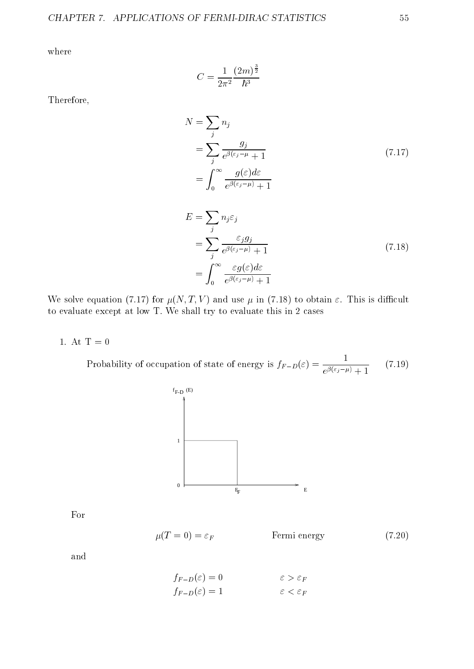where

$$
C = \frac{1}{2\pi^2} \frac{(2m)^{\frac{3}{2}}}{\hbar^3}
$$

Therefore,

$$
N = \sum_{j} n_{j}
$$
  
= 
$$
\sum_{j} \frac{g_{j}}{e^{\beta(\varepsilon_{j} - \mu)} + 1}
$$
  
= 
$$
\int_{0}^{\infty} \frac{g(\varepsilon) d\varepsilon}{e^{\beta(\varepsilon_{j} - \mu)} + 1}
$$
 (7.17)

$$
E = \sum_{j} n_{j} \varepsilon_{j}
$$
  
= 
$$
\sum_{j} \frac{\varepsilon_{j} g_{j}}{e^{\beta(\varepsilon_{j} - \mu)} + 1}
$$
  
= 
$$
\int_{0}^{\infty} \frac{\varepsilon g(\varepsilon) d\varepsilon}{e^{\beta(\varepsilon_{j} - \mu)} + 1}
$$
 (7.18)

We solve equation (7.17) for  $\mu(N, T, V)$  and use  $\mu$  in (7.18) to obtain  $\varepsilon$ . This is difficult to evaluate except at low T. We shall try to evaluate this in 2 cases

1. At  $T = 0$ 

Probability of occupation of state of energy is  $f_{F-D}(\varepsilon) = \frac{1}{e^{\beta(\varepsilon_j - \mu)} + 1}$  (7.19) (7.19)



For

$$
\mu(T=0) = \varepsilon_F \qquad \qquad \text{Fermi energy} \tag{7.20}
$$

and

$$
f_{F-D}(\varepsilon) = 0 \qquad \qquad \varepsilon > \varepsilon_F
$$

$$
f_{F-D}(\varepsilon) = 1 \qquad \qquad \varepsilon < \varepsilon_F
$$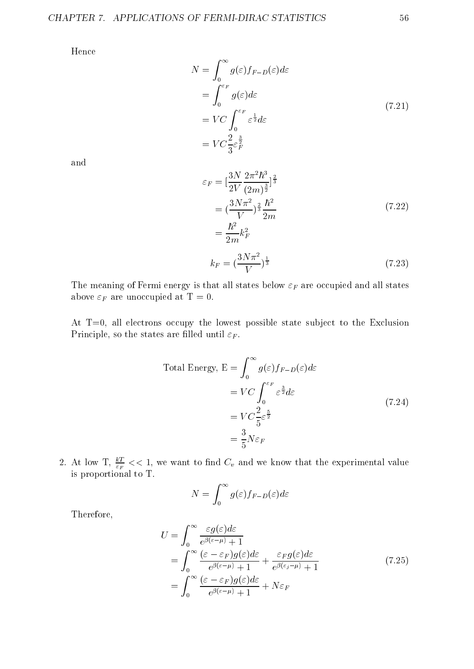Hence

$$
N = \int_0^\infty g(\varepsilon) f_{F-D}(\varepsilon) d\varepsilon
$$
  
= 
$$
\int_0^{\varepsilon_F} g(\varepsilon) d\varepsilon
$$
  
= 
$$
VC \int_0^{\varepsilon_F} \varepsilon^{\frac{1}{2}} d\varepsilon
$$
  
= 
$$
VC \frac{2}{3} \varepsilon_F^{\frac{3}{2}}
$$
 (7.21)

and

$$
\varepsilon_F = \left[\frac{3N}{2V}\frac{2\pi^2\hbar^3}{(2m)^{\frac{3}{2}}}\right]^{\frac{2}{3}} \n= \left(\frac{3N\pi^2}{V}\right)^{\frac{2}{3}}\frac{\hbar^2}{2m} \n= \frac{\hbar^2}{2m}k_F^2 \nk_F = \left(\frac{3N\pi^2}{V}\right)^{\frac{1}{3}}
$$
\n(7.23)

The meaning of Fermi energy is that all states below  $\varepsilon_F$  are occupied and all states above  $\varepsilon_F$  are unoccupied at T = 0.

At  $T=0$ , all electrons occupy the lowest possible state subject to the Exclusion Principle, so the states are filled until  $\varepsilon_F$ .

Total Energy, 
$$
E = \int_0^\infty g(\varepsilon) f_{F-D}(\varepsilon) d\varepsilon
$$
  
\n
$$
= VC \int_0^{\varepsilon_F} \varepsilon^{\frac{3}{2}} d\varepsilon
$$
\n
$$
= VC \frac{2}{5} \varepsilon^{\frac{5}{2}}
$$
\n
$$
= \frac{3}{5} N \varepsilon_F
$$
\n(7.24)

 $\blacksquare$ 

2. At low 1,  $\frac{z_F}{\varepsilon_F} << 1$ , we want to find  $C_v$  and we know that the experimental value is proportional to T.

$$
N=\int_0^\infty g(\varepsilon)f_{F-D}(\varepsilon)d\varepsilon
$$

Therefore,

$$
U = \int_0^\infty \frac{\varepsilon g(\varepsilon) d\varepsilon}{e^{\beta(\varepsilon - \mu)} + 1}
$$
  
= 
$$
\int_0^\infty \frac{(\varepsilon - \varepsilon_F) g(\varepsilon) d\varepsilon}{e^{\beta(\varepsilon - \mu)} + 1} + \frac{\varepsilon_F g(\varepsilon) d\varepsilon}{e^{\beta(\varepsilon_f - \mu)} + 1}
$$
 (7.25)  
= 
$$
\int_0^\infty \frac{(\varepsilon - \varepsilon_F) g(\varepsilon) d\varepsilon}{e^{\beta(\varepsilon - \mu)} + 1} + N\varepsilon_F
$$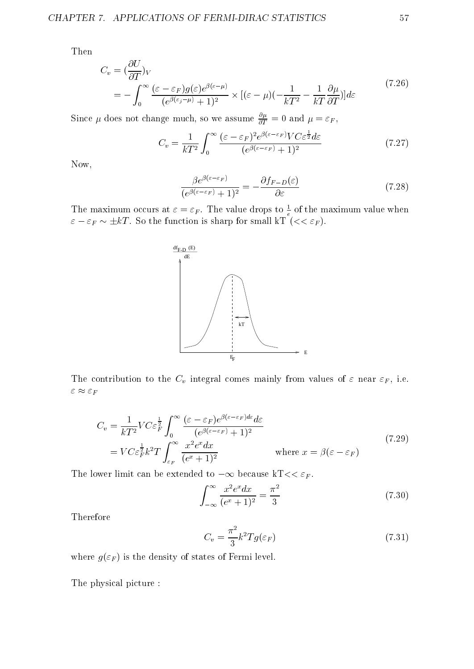Then

$$
C_v = \left(\frac{\partial U}{\partial T}\right)_V
$$
  
= 
$$
-\int_0^\infty \frac{(\varepsilon - \varepsilon_F)g(\varepsilon)e^{\beta(\varepsilon - \mu)}}{(e^{\beta(\varepsilon_j - \mu)} + 1)^2} \times [(\varepsilon - \mu)(-\frac{1}{kT^2} - \frac{1}{kT}\frac{\partial \mu}{\partial T})]d\varepsilon
$$
 (7.26)

Since  $\mu$  does not change much, so we assume  $\frac{1}{\partial T} = 0$  and  $\mu = \varepsilon_F$ ,

$$
C_v = \frac{1}{kT^2} \int_0^\infty \frac{(\varepsilon - \varepsilon_F)^2 e^{\beta(\varepsilon - \varepsilon_F)} V C \varepsilon^{\frac{1}{2}} d\varepsilon}{(e^{\beta(\varepsilon - \varepsilon_F)} + 1)^2}
$$
(7.27)

Now,

$$
\frac{\beta e^{\beta(\varepsilon - \varepsilon_F)}}{(e^{\beta(\varepsilon - \varepsilon_F)} + 1)^2} = -\frac{\partial f_{F-D}(\varepsilon)}{\partial \varepsilon}
$$
\n(7.28)

The maximum occurs at  $\varepsilon = \varepsilon_F$ . The value drops to  $\frac{1}{e}$  of the maximum value when  $\mathcal{F}$  ,  $\mathcal{F}$  , so the function is sharp for small known is sharp for  $\mathcal{F}$  (  $\mathcal{F}$  ).



The contribution to the  $C_v$  integral comes mainly from values of  $\varepsilon$  near  $\varepsilon_F$ , i.e.  $\varepsilon \approx \varepsilon_F$ 

$$
C_v = \frac{1}{kT^2} V C \varepsilon_F^{\frac{1}{2}} \int_0^\infty \frac{(\varepsilon - \varepsilon_F) e^{\beta(\varepsilon - \varepsilon_F) d\varepsilon} d\varepsilon}{(e^{\beta(\varepsilon - \varepsilon_F)} + 1)^2}
$$
  
=  $V C \varepsilon_F^{\frac{1}{2}} k^2 T \int_{\varepsilon_F}^\infty \frac{x^2 e^x dx}{(e^x + 1)^2}$  where  $x = \beta(\varepsilon - \varepsilon_F)$  (7.29)

The lower limit can be extended to  $-\infty$  because kT<<  $\varepsilon_F$ .

$$
\int_{-\infty}^{\infty} \frac{x^2 e^x dx}{(e^x + 1)^2} = \frac{\pi^2}{3}
$$
\n(7.30)

Therefore

$$
C_v = \frac{\pi^2}{3} k^2 T g(\varepsilon_F) \tag{7.31}
$$

where  $g(\varepsilon_F)$  is the density of states of Fermi level.

The physical picture :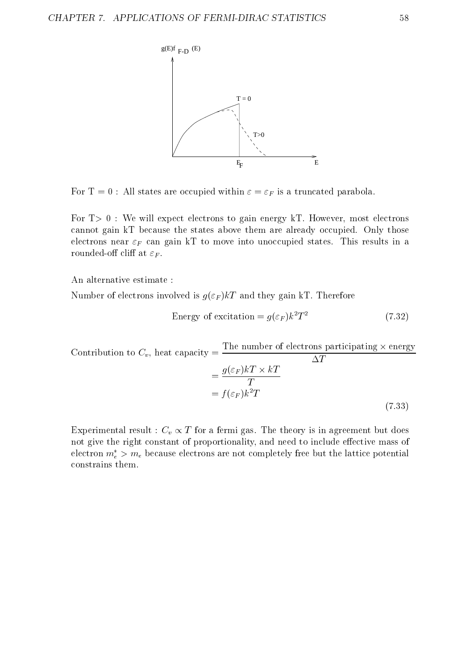

For T = 0 : All states are occupied within  $\varepsilon = \varepsilon_F$  is a truncated parabola.

For  $T>0$ : We will expect electrons to gain energy kT. However, most electrons cannot gain kT because the states above them are already occupied. Only those electrons near  $\varepsilon_F$  can gain kT to move into unoccupied states. This results in a rounded-off cliff at  $\varepsilon_F$ .

An alternative estimate :

Number of electrons involved is  $g(\varepsilon_F)kT$  and they gain kT. Therefore

Energy of excitation = 
$$
g(\varepsilon_F)k^2T^2
$$
 (7.32)

 $\sim$  Contribution to Cv , we have calculated the contribution of  $\mu$ The number of electrons participating - energy  $\overline{\Delta T}$  $=\frac{3(5F)H}{F}$  $= J(\varepsilon_F) \kappa I$ (7.33)

Experimental result :  $C_v \propto T$  for a fermi gas. The theory is in agreement but does not give the right constant of proportionality, and need to include effective mass of electron  $m_e > m_e$  because electrons are not completely free but the lattice potential constrains them.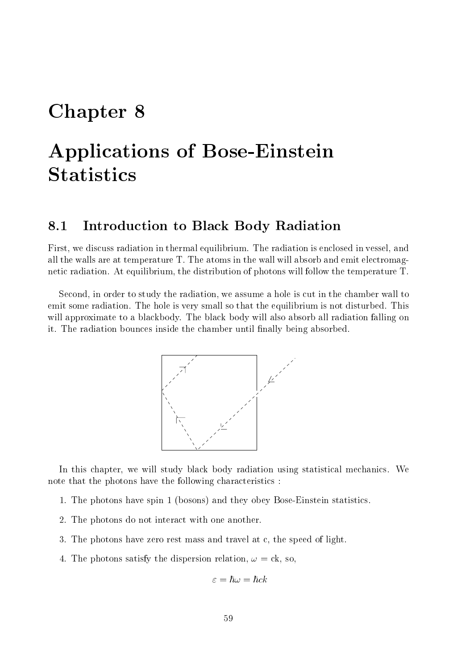### Chapter 8

# Applications of Bose-Einstein **Statistics**

#### 8.1 Introduction to Black Body Radiation

First, we discuss radiation in thermal equilibrium. The radiation is enclosed in vessel, and all the walls are at temperature T. The atoms in the wall will absorb and emit electromagnetic radiation. At equilibrium, the distribution of photons will follow the temperature T.

Second, in order to study the radiation, we assume a hole is cut in the chamber wall to emit some radiation. The hole is very small so that the equilibrium is not disturbed. This will approximate to a blackbody. The black body will also absorb all radiation falling on it. The radiation bounces inside the chamber until finally being absorbed.



In this chapter, we will study black body radiation using statistical mechanics. We note that the photons have the following characteristics :

- 1. The photons have spin 1 (bosons) and they obey Bose-Einstein statistics.
- 2. The photons do not interact with one another.
- 3. The photons have zero rest mass and travel at c, the speed of light.
- 4. The photons satisfy the dispersion relation,  $\omega = \text{ck}$ , so,

$$
\varepsilon=\hbar\omega=\hbar ck
$$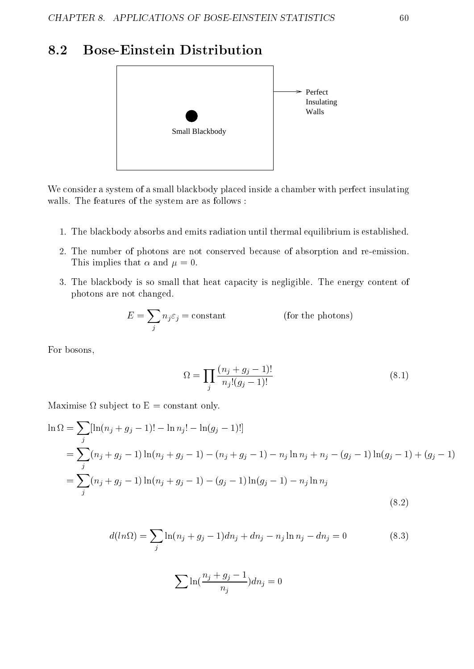### 8.2 Bose-Einstein Distribution



We consider a system of a small blackbody placed inside a chamber with perfect insulating walls. The features of the system are as follows :

- 1. The blackbody absorbs and emits radiation until thermal equilibrium is established.
- 2. The number of photons are not conserved because of absorption and re-emission. This implies that  $\alpha$  and  $\mu = 0$ .
- 3. The blackbody is so small that heat capacity is negligible. The energy content of photons are not changed.

$$
E = \sum_{j} n_{j} \varepsilon_{j} = \text{constant} \qquad \qquad \text{(for the photons)}
$$

For bosons,

$$
\Omega = \prod_{j} \frac{(n_j + g_j - 1)!}{n_j!(g_j - 1)!} \tag{8.1}
$$

Maximise sub ject to E = constant only.

$$
\ln \Omega = \sum_{j} [\ln(n_j + g_j - 1)! - \ln n_j! - \ln(g_j - 1)!]
$$
  
= 
$$
\sum_{j} (n_j + g_j - 1) \ln(n_j + g_j - 1) - (n_j + g_j - 1) - n_j \ln n_j + n_j - (g_j - 1) \ln(g_j - 1) + (g_j - 1)
$$
  
= 
$$
\sum_{j} (n_j + g_j - 1) \ln(n_j + g_j - 1) - (g_j - 1) \ln(g_j - 1) - n_j \ln n_j
$$
 (8.2)

$$
d(ln\Omega) = \sum_{j} \ln(n_j + g_j - 1)dn_j + dn_j - n_j \ln n_j - dn_j = 0
$$
 (8.3)

$$
\sum \ln(\frac{n_j+g_j-1}{n_j})dn_j=0
$$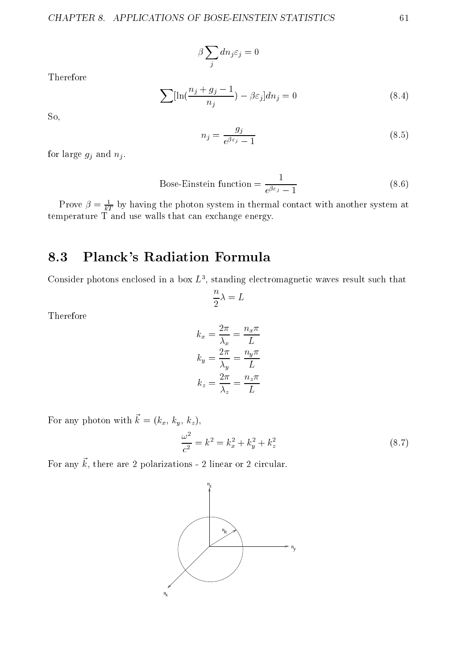$$
\beta \sum_j d n_j \varepsilon_j = 0
$$

Therefore

$$
\sum \left[\ln\left(\frac{n_j + g_j - 1}{n_j}\right) - \beta \varepsilon_j\right] dn_j = 0\tag{8.4}
$$

So,

$$
n_j = \frac{g_j}{e^{\beta \varepsilon_j} - 1} \tag{8.5}
$$

for large  $g_j$  and  $n_j$ .

Bose-Einstein function = 
$$
\frac{1}{e^{\beta \varepsilon_j} - 1}
$$
 (8.6)

Prove  $\rho = \frac{1}{kT}$  by having the photon system in thermal contact with another system at temperature T and use walls that can exchange energy.

### 8.3 Planck's Radiation Formula

Consider photons enclosed in a box  $L^*$ , standing electromagnetic waves result such that

na matsayin a shekarar 1970 a shekarar 1970 a ƙasar Ingila. Nashrida na shekarar 1971 a ƙasar Ingila. Nashrida

Therefore

$$
k_x = \frac{2\pi}{\lambda_x} = \frac{n_x \pi}{L}
$$

$$
k_y = \frac{2\pi}{\lambda_y} = \frac{n_y \pi}{L}
$$

$$
k_z = \frac{2\pi}{\lambda_z} = \frac{n_z \pi}{L}
$$

For any photon with  $\vec{k} = (k_x, k_y, k_z),$ 

$$
\frac{\omega^2}{c^2} = k^2 = k_x^2 + k_y^2 + k_z^2 \tag{8.7}
$$

For any  $\vec{k}$ , there are 2 polarizations - 2 linear or 2 circular.

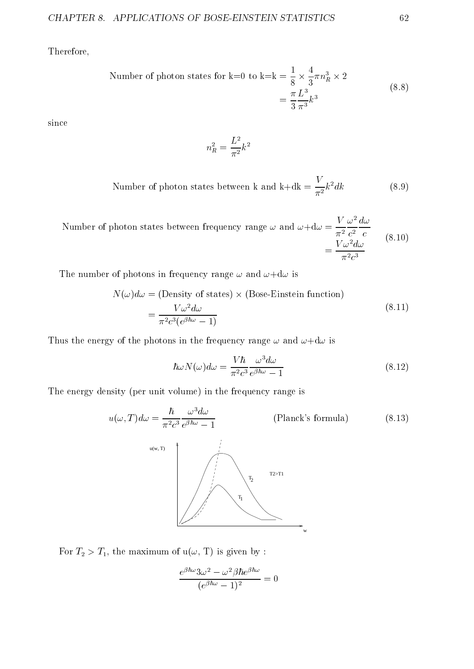Therefore,

Number of photon states for k=0 to k=k = 
$$
\frac{1}{8} \times \frac{4}{3} \pi n_R^3 \times 2
$$
  
=  $\frac{\pi}{3} \frac{L^3}{\pi^3} k^3$  (8.8)

since

$$
n_R^2 = \frac{L^2}{\pi^2}k^2
$$

Number of photon states between k and k+dk =  $\frac{1}{\pi^2}k^2dk$  $(8.9)$ 

Number of photon states between frequency range 
$$
\omega
$$
 and  $\omega + d\omega = \frac{V}{\pi^2} \frac{\omega^2}{c^2} \frac{d\omega}{c}$   
=  $\frac{V \omega^2 d\omega}{\pi^2 c^3}$  (8.10)

The number of photons in frequency range  $\omega$  and  $\omega + d\omega$  is

$$
N(\omega)d\omega = \text{(Density of states)} \times \text{(Bose-Einstein function)}
$$

$$
= \frac{V\omega^2 d\omega}{\pi^2 c^3 (e^{\beta \hbar \omega} - 1)}
$$
(8.11)

Thus the energy of the photons in the frequency range  $\omega$  and  $\omega + d\omega$  is

$$
\hbar\omega N(\omega)d\omega = \frac{V\hbar}{\pi^2 c^3} \frac{\omega^3 d\omega}{e^{\beta\hbar\omega} - 1}
$$
\n(8.12)

The energy density (per unit volume) in the frequency range is

$$
u(\omega, T)d\omega = \frac{\hbar}{\pi^2 c^3} \frac{\omega^3 d\omega}{e^{\beta \hbar \omega} - 1}
$$
 (Planck's formula) (8.13)



For  $T_2 > T_1$ , the maximum of  $u(\omega, T)$  is given by :

$$
\frac{e^{\beta\hbar\omega}3\omega^2-\omega^2\beta\hbar e^{\beta\hbar\omega}}{(e^{\beta\hbar\omega}-1)^2}=0
$$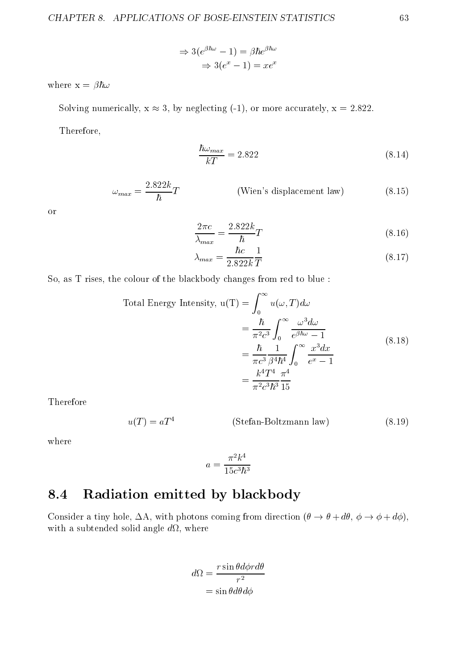$$
\Rightarrow 3(e^{\beta \hbar \omega} - 1) = \beta \hbar e^{\beta \hbar \omega}
$$

$$
\Rightarrow 3(e^x - 1) = xe^x
$$

where  $x = \beta \hbar \omega$ 

Solving numerically,  $x \approx 3$ , by neglecting (-1), or more accurately,  $x = 2.822$ .

Therefore,

$$
\frac{\hbar\omega_{max}}{kT} = 2.822\tag{8.14}
$$

$$
\omega_{max} = \frac{2.822k}{\hbar}T
$$
 (Wien's displacement law) (8.15)

or

$$
\frac{2\pi c}{\lambda_{max}} = \frac{2.822k}{\hbar}T\tag{8.16}
$$

$$
\lambda_{max} = \frac{\hbar c}{2.822k} \frac{1}{T} \tag{8.17}
$$

So, as T rises, the colour of the blackbody changes from red to blue :

Total Energy Intensity, 
$$
u(T) = \int_0^\infty u(\omega, T) d\omega
$$
  
= 
$$
\frac{\hbar}{\pi^2 c^3} \int_0^\infty \frac{\omega^3 d\omega}{e^{\beta \hbar \omega} - 1}
$$
  
= 
$$
\frac{\hbar}{\pi c^3} \frac{1}{\beta^4 \hbar^4} \int_0^\infty \frac{x^3 dx}{e^x - 1}
$$
  
= 
$$
\frac{k^4 T^4}{\pi^2 c^3 \hbar^3} \frac{\pi^4}{15}
$$
 (8.18)

Therefore

$$
u(T) = aT4
$$
 (Stefan-Boltzmann law) (8.19)

where

$$
a = \frac{\pi^2 k^4}{15c^3\hbar^3}
$$

### 8.4 Radiation emitted by blackbody

Consider a tiny hole,  $\Delta A$ , with photons coming from direction  $(\theta \to \theta + d\theta, \phi \to \phi + d\phi)$ , with a subtended solid and solid angles where  $\alpha$  and  $\alpha$ 

$$
d\Omega = \frac{r \sin \theta d\phi r d\theta}{r^2}
$$

$$
= \sin \theta d\theta d\phi
$$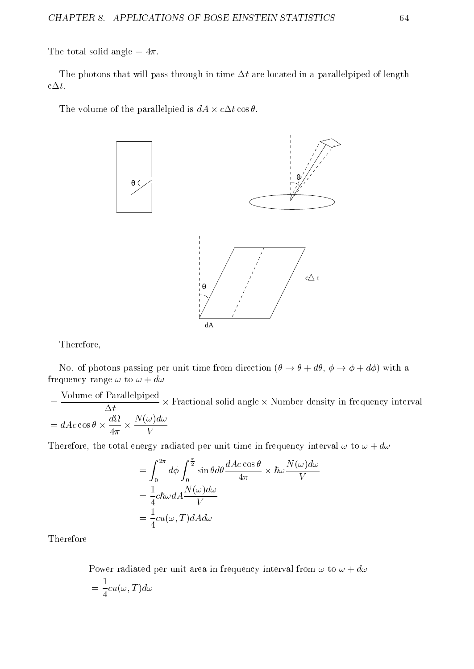The total solid angle  $= 4\pi$ .

The photons that will pass through in time  $\Delta t$  are located in a parallelpiped of length  $c\Delta t$ .

The volume of the parallelpied is defined is defined in



Therefore,

No. of photons passing per unit time from direction  $(\theta \to \theta + d\theta, \phi \to \phi + d\phi)$  with a frequency range  $\omega$  to  $\omega + d\omega$ 

experience and the contract of the contract of the contract of the contract of the contract of the contract of Volume of Parallelpiped - Fractional solid angle - Number density in frequency interval  $=$  data cos  $=$  data cos  $=$  data cos  $=$  data cos  $=$  data cos  $=$  data cos  $=$  data cos  $=$  data cos  $=$  data cos  $=$  data cos  $=$  data cos  $=$  data cos  $=$  data cos  $=$  data cos  $=$  data cos  $=$  data cos  $=$  data cos N(!)d!

Therefore, the total energy radiated per unit time in frequency interval  $\omega$  to  $\omega + d\omega$ 

$$
= \int_0^{2\pi} d\phi \int_0^{\frac{\pi}{2}} \sin\theta d\theta \frac{dAc\cos\theta}{4\pi} \times \hbar \omega \frac{N(\omega)d\omega}{V}
$$
  
=  $\frac{1}{4}c\hbar \omega dA \frac{N(\omega)d\omega}{V}$   
=  $\frac{1}{4}cu(\omega, T)dA d\omega$ 

Therefore

Power radiated per unit area in frequency interval from  $\omega$  to  $\omega + d\omega$ = – 7 <del>– 1</del> cu(!; T )d!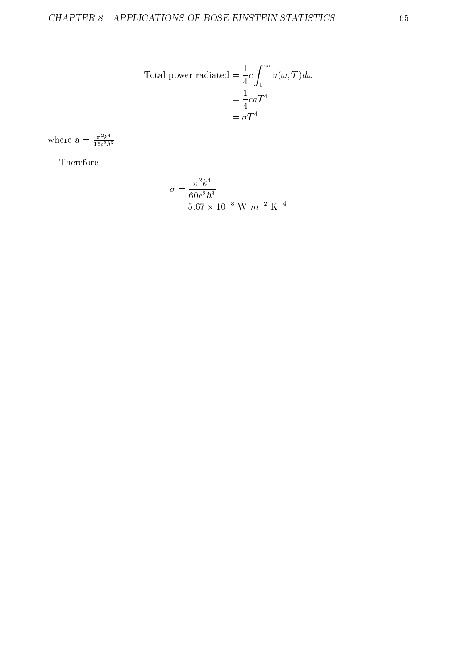Total power radiated 
$$
= \frac{1}{4}c \int_0^{\infty} u(\omega, T)d\omega
$$

$$
= \frac{1}{4}caT^4
$$

$$
= \sigma T^4
$$

where  $a = \frac{\pi^2 k^4}{15c^3\hbar^3}$ .

Therefore,

$$
\sigma = \frac{\pi^2 k^4}{60c^2\hbar^3}
$$
  
= 5.67 × 10<sup>-8</sup> W m<sup>-2</sup> K<sup>-4</sup>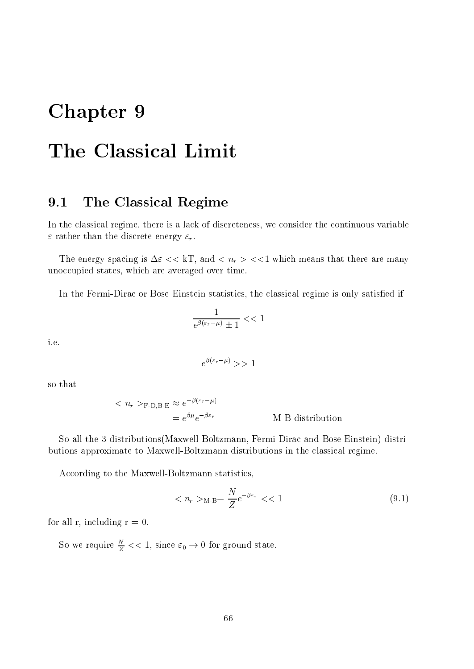# Chapter 9

# The Classical Limit

#### 9.1 The Classical Regime

In the classical regime, there is a lack of discreteness, we consider the continuous variable  $\varepsilon$  rather than the discrete energy  $\varepsilon_r$ .

The energy spacing is  $\Delta \varepsilon << kT$ , and  $\langle n_r \rangle << 1$  which means that there are many unoccupied states, which are averaged over time.

In the Fermi-Dirac or Bose Einstein statistics, the classical regime is only satisfied if

$$
\frac{1}{e^{\beta(\varepsilon_r - \mu)} \pm 1} << 1
$$

i.e.

$$
e^{\beta(\varepsilon_r - \mu)} \gg 1
$$

so that

$$
< n_r >_{\text{F-D,B-E}} \approx e^{-\beta(\varepsilon_r - \mu)}
$$
  
=  $e^{\beta \mu} e^{-\beta \varepsilon_r}$  M-B distribution

So all the 3 distributions(Maxwell-Boltzmann, Fermi-Dirac and Bose-Einstein) distributions approximate to Maxwell-Boltzmann distributions in the classical regime.

According to the Maxwell-Boltzmann statistics,

$$
\langle n_r \rangle_{\text{M-B}} = \frac{N}{Z} e^{-\beta \varepsilon_r} \langle 1 \rangle \tag{9.1}
$$

for all r, including  $r = 0$ .

So we require  $\frac{1}{Z} << 1$ , since  $\varepsilon_0 \rightarrow 0$  for ground state.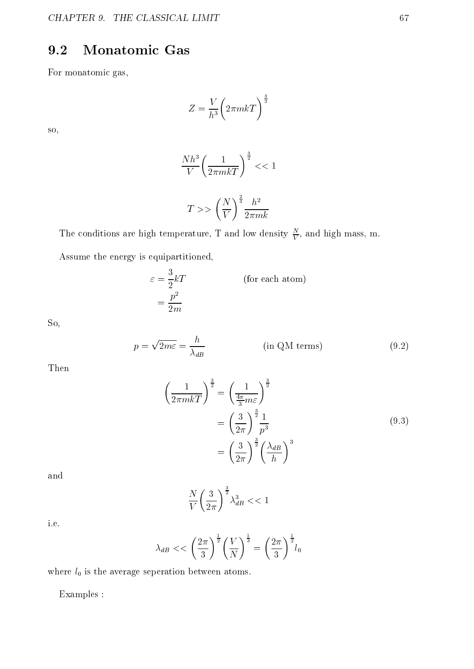### 9.2 Monatomic Gas

For monatomic gas,

$$
Z = \frac{V}{h^3} \bigg( 2\pi mkT \bigg)^{\frac{3}{2}}
$$

so,

$$
\frac{Nh^3}{V} \left(\frac{1}{2\pi mkT}\right)^{\frac{3}{2}} < < 1
$$
\n
$$
T > > \left(\frac{N}{V}\right)^{\frac{2}{3}} \frac{h^2}{2\pi mk}
$$

The conditions are high temperature, T and low density  $\overline{V}$ , and high mass, m.

Assume the energy is equipartitioned,

$$
\varepsilon = \frac{3}{2}kT
$$
 (for each atom)  
= 
$$
\frac{p^2}{2m}
$$

So,

$$
p = \sqrt{2m\varepsilon} = \frac{h}{\lambda_{dB}}
$$
 (in QM terms) (9.2)

Then

$$
\left(\frac{1}{2\pi mkT}\right)^{\frac{3}{2}} = \left(\frac{1}{\frac{4\pi}{3}m\varepsilon}\right)^{\frac{3}{2}}
$$

$$
= \left(\frac{3}{2\pi}\right)^{\frac{3}{2}}\frac{1}{p^3}
$$
(9.3)
$$
= \left(\frac{3}{2\pi}\right)^{\frac{3}{2}} \left(\frac{\lambda_{dB}}{h}\right)^3
$$

and

$$
\frac{N}{V} \left(\frac{3}{2\pi}\right)^{\frac{3}{2}} \lambda_{dB}^{3} << 1
$$

i.e.

$$
\lambda_{dB} \ll \left(\frac{2\pi}{3}\right)^{\frac{1}{2}} \left(\frac{V}{N}\right)^{\frac{1}{3}} = \left(\frac{2\pi}{3}\right)^{\frac{1}{2}} l_0
$$

where  $l_0$  is the average seperation between atoms.

Examples :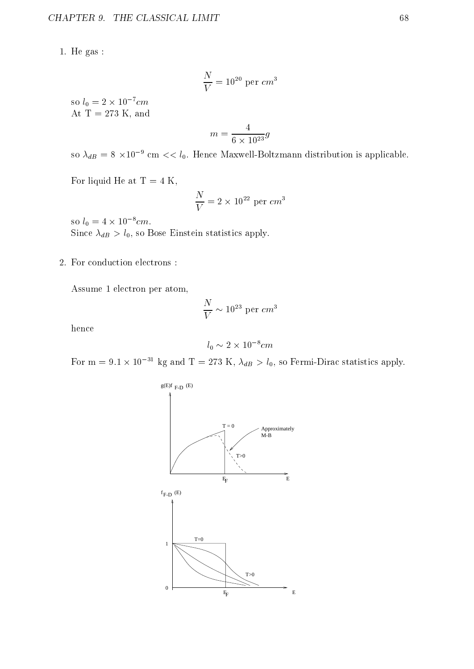1. He gas :

$$
\frac{N}{V}=10^{20}\,\,\mathrm{per}\,\,cm^3
$$

so  $t_0 = 2 \times 10^{-6}$ cm At  $T = 273$  K, and

$$
m = \frac{4}{6 \times 10^{23}}g
$$

so  $\lambda_{dB}$  = 8  $\times$ 10  $^\circ$  cm  $<<$   $t_0$ . Hence Maxwell-Boltzmann distribution is applicable.

For liquid He at  $T = 4$  K,

$$
\frac{N}{V}=2\times 10^{22}~{\rm per}~cm^3
$$

so  $t_0 = 4 \times 10^{-6}$  cm. Since  $\lambda_{dB} > l_0$ , so Bose Einstein statistics apply.

2. For conduction electrons :

Assume 1 electron per atom,

$$
\frac{N}{V}\sim 10^{23}~{\rm per}~cm^3
$$

hence

$$
l_0 \sim 2 \times 10^{-8} cm
$$

For m = 9.1  $\times$  10  $^{-1}$  kg and T = 275 K,  $\lambda_{dB} > t_0$ , so Fermi-Dirac statistics apply.

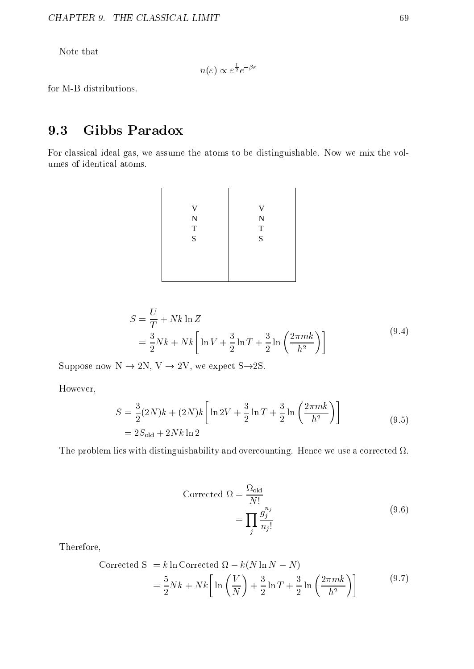Note that

$$
n(\varepsilon) \propto \varepsilon^{\frac{1}{2}} e^{-\beta \varepsilon}
$$

for M-B distributions.

### 9.3 Gibbs Paradox

For classical ideal gas, we assume the atoms to be distinguishable. Now we mix the volumes of identical atoms.

| V              | V              |
|----------------|----------------|
| ${\bf N}$      | ${\bf N}$      |
| $\overline{T}$ | $\overline{T}$ |
| $\overline{S}$ | $\overline{S}$ |
|                |                |
|                |                |
|                |                |
|                |                |

$$
S = \frac{U}{T} + Nk \ln Z
$$
  
=  $\frac{3}{2} Nk + Nk \left[ \ln V + \frac{3}{2} \ln T + \frac{3}{2} \ln \left( \frac{2\pi mk}{h^2} \right) \right]$  (9.4)

Suppose now  $N \to 2N$ ,  $V \to 2V$ , we expect S $\rightarrow$ 2S.

However,

$$
S = \frac{3}{2}(2N)k + (2N)k \left[ \ln 2V + \frac{3}{2} \ln T + \frac{3}{2} \ln \left( \frac{2\pi mk}{h^2} \right) \right]
$$
  
= 2S<sub>old</sub> + 2Nk ln 2 (9.5)

The problem lies with distinguishability and overcounting. Hence we use a corrected .

$$
\begin{aligned} \text{Corrected } \Omega &= \frac{\Omega_{\text{old}}}{N!} \\ &= \prod_{j} \frac{g_j^{n_j}}{n_j!} \end{aligned} \tag{9.6}
$$

Therefore,

$$
\begin{aligned} \text{Corrected S} &= k \ln \text{Corrected } \Omega - k(N \ln N - N) \\ &= \frac{5}{2} Nk + Nk \left[ \ln \left( \frac{V}{N} \right) + \frac{3}{2} \ln T + \frac{3}{2} \ln \left( \frac{2\pi mk}{h^2} \right) \right] \end{aligned} \tag{9.7}
$$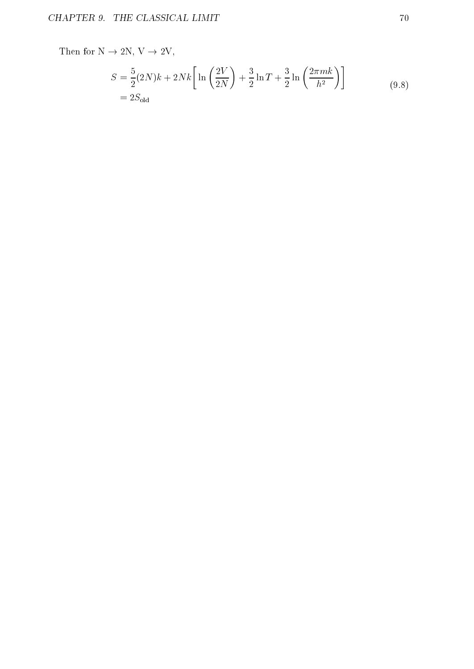Then for  $N \rightarrow 2N$ ,  $V \rightarrow 2V$ , S =  $\sim$   $\sim$   $\sim$   $\sim$   $\sim$   $\sim$  $(2N)k + 2Nk \ln \left( \frac{2V}{2} \right) + \frac{3}{7} \ln \left( \frac{2V}{2} \right)$ 2002 - 2003 - 2004 - 2005 - 2006 - 2007 - 2008 - 2009 - 2009 - 2006 - 2007 - 2008 - 2008 - 2008 - 2007 - 2008  $\mathbf{v}$  and  $\mathbf{v}$  are the set of  $\mathbf{v}$  and  $\mathbf{v}$  are the set of  $\mathbf{v}$  and  $\mathbf{v}$  are the set of  $\mathbf{v}$ +  $\sim$   $\sim$   $\sim$ ln T +  $\sim$   $\sim$   $\sim$   $\sim$   $\sim$   $\sim$ <u>2000 - 2000 - 2000 - 2000 - 2000 - 2000 - 2000 - 2000 - 2000 - 2000 - 2000 - 2000 - 2000 - 2000 - 2000 - 2000 - 2000 - 2000 - 2000 - 2000 - 2000 - 2000 - 2000 - 2000 - 2000 - 2000 - 2000 - 2000 - 2000 - 2000 - 2000 - 2000</u>  $\ln\left(\frac{2\pi mk}{n}\right)$  $\left(\frac{rmk}{h^2}\right)$  $= 2S_{\rm old}$ (9.8)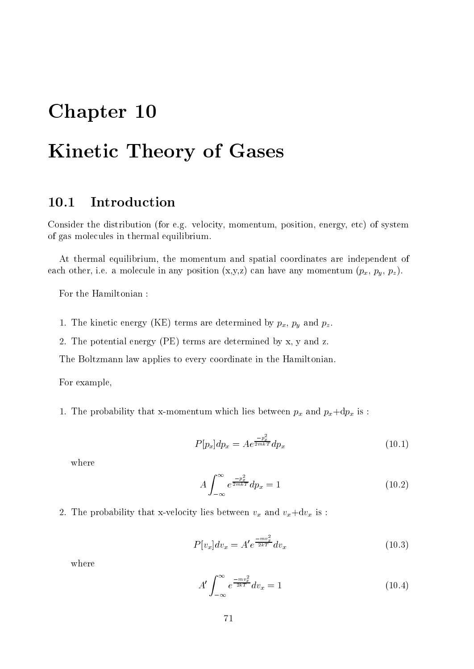# Chapter 10

# Kinetic Theory of Gases

Consider the distribution (for e.g. velocity, momentum, position, energy, etc) of system of gas molecules in thermal equilibrium.

At thermal equilibrium, the momentum and spatial coordinates are independent of each other, i.e. a molecule in any position  $(x,y,z)$  can have any momentum  $(p_x, p_y, p_z)$ .

For the Hamiltonian :

- 1. The kinetic energy (KE) terms are determined by  $p_x$ ,  $p_y$  and  $p_z$ .
- 2. The potential energy (PE) terms are determined by x, y and z.

The Boltzmann law applies to every coordinate in the Hamiltonian.

For example,

1. The probability that x-momentum which lies between  $p_x$  and  $p_x+dp_x$  is :

$$
P[p_x]dp_x = Ae^{\frac{-p_x^2}{2mkT}}dp_x
$$
\n(10.1)

where

$$
A \int_{-\infty}^{\infty} e^{\frac{-p_x^2}{2mkT}} dp_x = 1 \tag{10.2}
$$

2. The probability that x-velocity lies between  $v_x$  and  $v_x+dv_x$  is :

$$
P[v_x]dv_x = A'e^{\frac{-mv_x^2}{2kT}}dv_x
$$
\n(10.3)

where

$$
A' \int_{-\infty}^{\infty} e^{\frac{-mv_x^2}{2kT}} dv_x = 1
$$
 (10.4)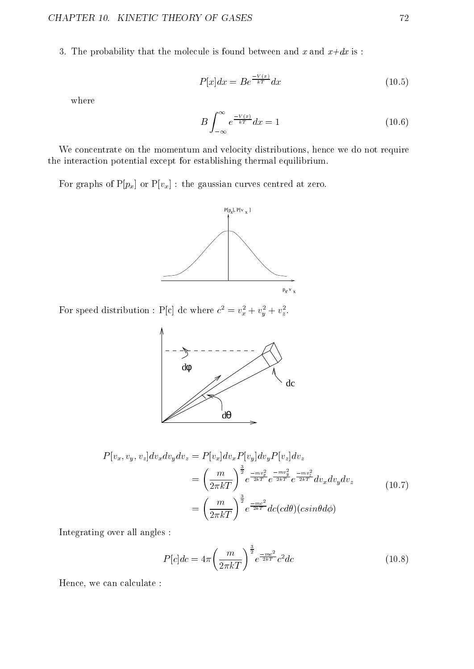3. The probability that the molecule is found between and x and  $x+dx$  is :

$$
P[x]dx = Be^{\frac{-V(x)}{kT}}dx\tag{10.5}
$$

where

$$
B\int_{-\infty}^{\infty} e^{\frac{-V(x)}{kT}} dx = 1
$$
\n(10.6)

We concentrate on the momentum and velocity distributions, hence we do not require the interaction potential except for establishing thermal equilibrium.

For graphs of  $P[p_x]$  or  $P[v_x]$ : the gaussian curves centred at zero.



For speed distribution :  $P[c]$  dc where  $c^2 = v_x^2 + v_y^2 + v_z^2$ .



$$
P[v_x, v_y, v_z]dv_x dv_y dv_z = P[v_x]dv_x P[v_y]dv_y P[v_z]dv_z
$$
  

$$
= \left(\frac{m}{2\pi kT}\right)^{\frac{3}{2}} e^{\frac{-mv_x^2}{2kT}} e^{\frac{-mv_y^2}{2kT}} e^{\frac{-mv_y^2}{2kT}} dv_x dv_y dv_z
$$
  

$$
= \left(\frac{m}{2\pi kT}\right)^{\frac{3}{2}} e^{\frac{-mc^2}{2kT}} dc(cd\theta)(csin\theta d\phi)
$$
\n(10.7)

Integrating over all angles :

$$
P[c]dc = 4\pi \left(\frac{m}{2\pi kT}\right)^{\frac{3}{2}} e^{\frac{-mc^2}{2kT}} c^2 dc \tag{10.8}
$$

Hence, we can calculate :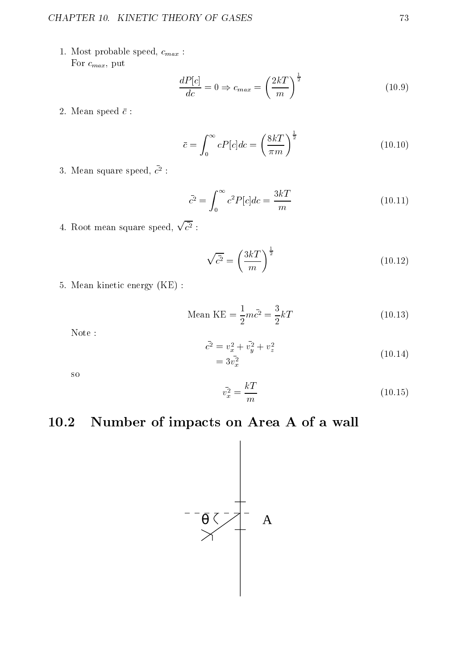1. Most probable speed,  $c_{max}$ : For  $c_{max}$ , put

$$
\frac{dP[c]}{dc} = 0 \Rightarrow c_{max} = \left(\frac{2k}{m}\right)^{\frac{1}{2}}
$$
\n(10.9)

2. Mean speed  $\bar{c}$  :

$$
\bar{c} = \int_0^\infty cP[c]dc = \left(\frac{8kT}{\pi m}\right)^{\frac{1}{2}}
$$
\n(10.10)

 $\sigma$ . mean square speed,  $c$  .

$$
\bar{c}^2 = \int_0^\infty c^2 P[c] dc = \frac{3kT}{m} \tag{10.11}
$$

4. Root mean square speed,  $\sqrt{\overline{c^2}}$  :

$$
\sqrt{\bar{c}^2} = \left(\frac{3kT}{m}\right)^{\frac{1}{2}}\tag{10.12}
$$

5. Mean kinetic energy (KE) :

Mean KE = 
$$
\frac{1}{2}m\bar{c}^2 = \frac{3}{2}kT
$$
 (10.13)

Note :

$$
\bar{c}^2 = v_x^2 + \bar{v}_y^2 + v_z^2
$$
\n
$$
= 3\bar{v}_x^2 \tag{10.14}
$$

so

$$
\bar{v}_x^2 = \frac{kT}{m} \tag{10.15}
$$

## 10.2 Number of impacts on Area A of a wall

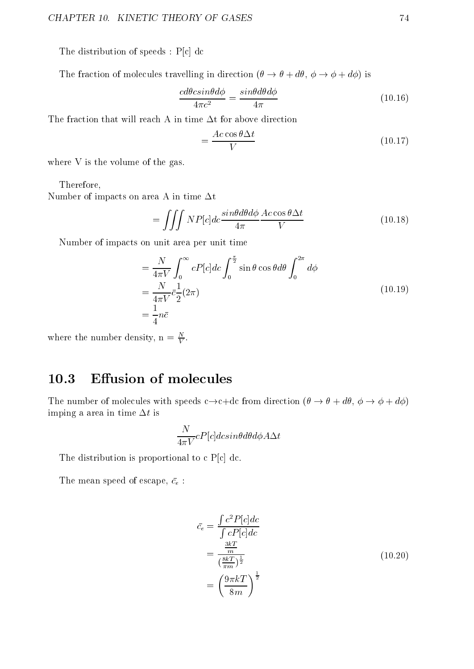The distribution of speeds : P[c] dc

The fraction of molecules travelling in direction  $(\theta \to \theta + d\theta, \phi \to \phi + d\phi)$  is

$$
\frac{cd\theta csin\theta d\phi}{4\pi c^2} = \frac{sin\theta d\theta d\phi}{4\pi} \tag{10.16}
$$

The fraction that will reach A in time  $\Delta t$  for above direction

$$
=\frac{Ac\cos\theta\Delta t}{V}\tag{10.17}
$$

where V is the volume of the gas.

Therefore,

Number of impacts on area A in time  $\Delta t$ 

$$
= \iiint N P[c]dc \frac{\sin\theta d\theta d\phi}{4\pi} \frac{Ac \cos\theta \Delta t}{V}
$$
 (10.18)

Number of impacts on unit area per unit time

$$
= \frac{N}{4\pi V} \int_0^\infty cP[c]dc \int_0^{\frac{\pi}{2}} \sin\theta \cos\theta d\theta \int_0^{2\pi} d\phi
$$
  
=  $\frac{N}{4\pi V} \bar{c} \frac{1}{2} (2\pi)$   
=  $\frac{1}{4} n\bar{c}$  (10.19)

where the number density,  $n = \frac{1}{V}$ .

## 10.3 Effusion of molecules

The number of molecules with speeds  $c \rightarrow c+dc$  from direction  $(\theta \rightarrow \theta + d\theta, \phi \rightarrow \phi + d\phi)$ imping a area in time  $\Delta t$  is

$$
\frac{N}{4\pi V}cP[c]dcsin\theta d\theta d\phi A\Delta t
$$

The distribution is proportional to  $c$  P[c] dc.

The mean speed of escape,  $\bar{c_e}$  :

$$
\bar{c}_e = \frac{\int c^2 P[c]dc}{\int c P[c]dc}
$$
\n
$$
= \frac{\frac{3kT}{m}}{\left(\frac{8kT}{\pi m}\right)^{\frac{1}{2}}}
$$
\n
$$
= \left(\frac{9\pi kT}{8m}\right)^{\frac{1}{2}}
$$
\n(10.20)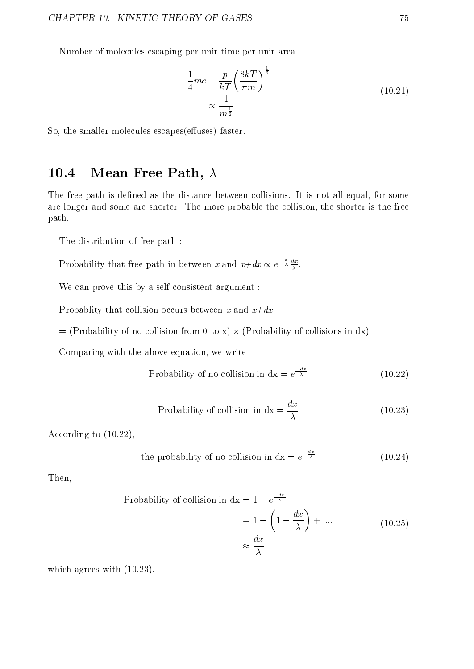Number of molecules escaping per unit time per unit area

$$
\frac{1}{4}m\bar{c} = \frac{p}{kT} \left(\frac{8kT}{\pi m}\right)^{\frac{1}{2}}
$$
\n
$$
\propto \frac{1}{m^{\frac{1}{2}}}
$$
\n(10.21)

So, the smaller molecules escapes(effuses) faster.

## 10.4 Mean Free Path,  $\lambda$

The free path is defined as the distance between collisions. It is not all equal, for some are longer and some are shorter. The more probable the collision, the shorter is the free path.

The distribution of free path :

Probability that free path in between x and  $x+dx \propto e^{-\frac{x}{\lambda}}$ .

We can prove this by a self consistent argument :

Probablity that collision occurs between x and  $x+dx$ 

= (Probability of no collision from 0 to x) - (Probability of collisions in dx)

Comparing with the above equation, we write

Probability of no collision in 
$$
dx = e^{\frac{-dx}{\lambda}}
$$
 (10.22)

Probability of collision in 
$$
dx = \frac{dx}{\lambda}
$$
 (10.23)

According to (10.22),

the probability of no collision in 
$$
dx = e^{-\frac{dx}{\lambda}}
$$
 (10.24)

Then,

Probability of collision in 
$$
dx = 1 - e^{\frac{-dx}{\lambda}}
$$
  
=  $1 - \left(1 - \frac{dx}{\lambda}\right) + \dots$  (10.25)  
 $\approx \frac{dx}{\lambda}$ 

which agrees with (10.23).